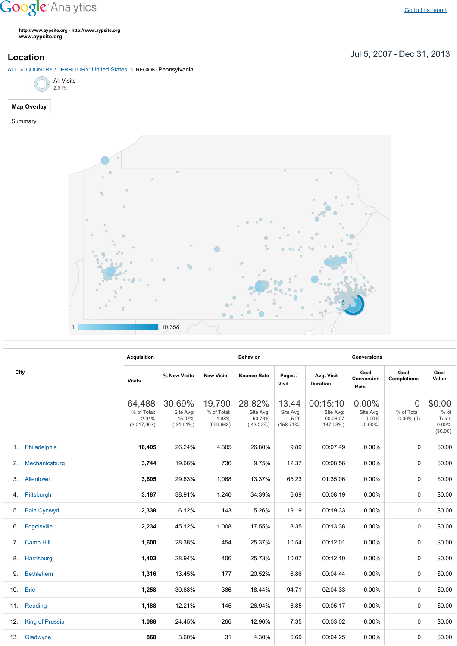## **Google** Analytics

Go to this [report](https://www.google.com/analytics/web/?utm_source=pdfReportLink#report/visitors-geo/a2184169w3912412p4016214/%3F_u.date00%3D20070705%26_u.date01%3D20131231%26geo-table.plotKeys%3D%5B%5D%26geo-table.rowStart%3D0%26geo-table.rowCount%3D1000%26_r.drilldown%3Danalytics.country%3AUS%2Canalytics.region%3A21171/)

Jul 5, 2007 Dec 31, 2013 **Location**

**http://www.aypsite.org http://www.aypsite.org www.aypsite.org**

ALL » COUNTRY / TERRITORY: United States » REGION: Pennsylvania





|     | City                   | <b>Acquisition</b>                              |                                               |                                              | <b>Behavior</b>                              |                                            |                                                | <b>Conversions</b>                           |                                               |                                                 |  |
|-----|------------------------|-------------------------------------------------|-----------------------------------------------|----------------------------------------------|----------------------------------------------|--------------------------------------------|------------------------------------------------|----------------------------------------------|-----------------------------------------------|-------------------------------------------------|--|
|     |                        | <b>Visits</b>                                   | % New Visits                                  | <b>New Visits</b>                            | <b>Bounce Rate</b>                           | Pages /<br><b>Visit</b>                    | Avg. Visit<br>Duration                         | Goal<br>Conversion<br>Rate                   | Goal<br><b>Completions</b>                    | Goal<br>Value                                   |  |
|     |                        | 64,488<br>% of Total:<br>2.91%<br>(2, 217, 907) | 30.69%<br>Site Avg:<br>45.07%<br>$(-31.91\%)$ | 19,790<br>% of Total:<br>1.98%<br>(999, 663) | 28.82%<br>Site Avg:<br>50.76%<br>$(-43.22%)$ | 13.44<br>Site Avg:<br>5.20<br>$(158.71\%)$ | 00:15:10<br>Site Avg:<br>00:06:07<br>(147.93%) | $0.00\%$<br>Site Avg:<br>0.00%<br>$(0.00\%)$ | $\overline{0}$<br>% of Total:<br>$0.00\%$ (0) | \$0.00<br>$%$ of<br>Total:<br>0.00%<br>(\$0.00) |  |
| 1.  | Philadelphia           | 16,405                                          | 26.24%                                        | 4.305                                        | 26.80%                                       | 9.89                                       | 00:07:49                                       | $0.00\%$                                     | 0                                             | \$0.00                                          |  |
| 2.  | Mechanicsburg          | 3,744                                           | 19.66%                                        | 736                                          | 9.75%                                        | 12.37                                      | 00:08:56                                       | 0.00%                                        | 0                                             | \$0.00                                          |  |
| 3.  | Allentown              | 3,605                                           | 29.63%                                        | 1,068                                        | 13.37%                                       | 65.23                                      | 01:35:06                                       | $0.00\%$                                     | 0                                             | \$0.00                                          |  |
| 4.  | Pittsburgh             | 3,187                                           | 38.91%                                        | 1,240                                        | 34.39%                                       | 6.69                                       | 00:08:19                                       | 0.00%                                        | 0                                             | \$0.00                                          |  |
| 5.  | <b>Bala Cynwyd</b>     | 2,338                                           | 6.12%                                         | 143                                          | 5.26%                                        | 19.19                                      | 00:19:33                                       | 0.00%                                        | 0                                             | \$0.00                                          |  |
| 6.  | Fogelsville            | 2,234                                           | 45.12%                                        | 1,008                                        | 17.55%                                       | 8.35                                       | 00:13:38                                       | 0.00%                                        | 0                                             | \$0.00                                          |  |
| 7.  | Camp Hill              | 1,600                                           | 28.38%                                        | 454                                          | 25.37%                                       | 10.54                                      | 00:12:01                                       | 0.00%                                        | 0                                             | \$0.00                                          |  |
| 8.  | Harrisburg             | 1,403                                           | 28.94%                                        | 406                                          | 25.73%                                       | 10.07                                      | 00:12:10                                       | 0.00%                                        | 0                                             | \$0.00                                          |  |
| 9.  | <b>Bethlehem</b>       | 1,316                                           | 13.45%                                        | 177                                          | 20.52%                                       | 6.86                                       | 00:04:44                                       | 0.00%                                        | 0                                             | \$0.00                                          |  |
| 10. | Erie                   | 1,258                                           | 30.68%                                        | 386                                          | 18.44%                                       | 94.71                                      | 02:04:33                                       | 0.00%                                        | 0                                             | \$0.00                                          |  |
| 11. | Reading                | 1,188                                           | 12.21%                                        | 145                                          | 26.94%                                       | 6.85                                       | 00:05:17                                       | 0.00%                                        | 0                                             | \$0.00                                          |  |
| 12. | <b>King of Prussia</b> | 1,088                                           | 24.45%                                        | 266                                          | 12.96%                                       | 7.35                                       | 00:03:02                                       | 0.00%                                        | 0                                             | \$0.00                                          |  |
| 13. | Gladwyne               | 860                                             | 3.60%                                         | 31                                           | 4.30%                                        | 6.69                                       | 00:04:25                                       | 0.00%                                        | 0                                             | \$0.00                                          |  |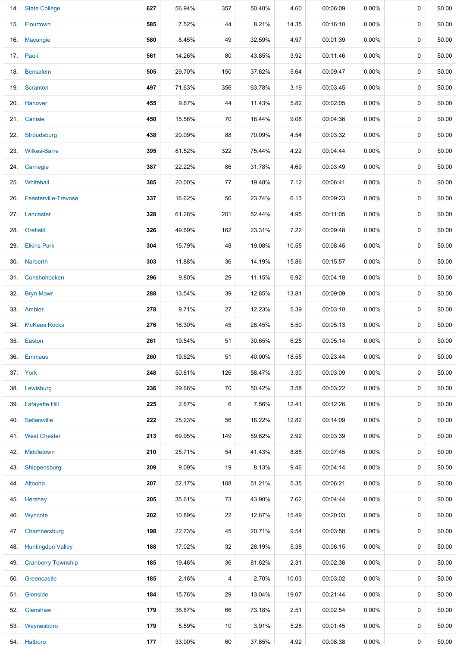| 14. | <b>State College</b>      | 627 | 56.94% | 357 | 50.40% | 4.60  | 00:06:09 | 0.00%    | 0 | \$0.00 |
|-----|---------------------------|-----|--------|-----|--------|-------|----------|----------|---|--------|
|     | 15. Flourtown             | 585 | 7.52%  | 44  | 8.21%  | 14.35 | 00:16:10 | 0.00%    | 0 | \$0.00 |
|     | 16. Macungie              | 580 | 8.45%  | 49  | 32.59% | 4.97  | 00:01:39 | 0.00%    | 0 | \$0.00 |
|     | 17. Paoli                 | 561 | 14.26% | 80  | 43.85% | 3.92  | 00:11:46 | 0.00%    | 0 | \$0.00 |
|     | 18. Bensalem              | 505 | 29.70% | 150 | 37.62% | 5.64  | 00:09:47 | 0.00%    | 0 | \$0.00 |
|     | 19. Scranton              | 497 | 71.63% | 356 | 63.78% | 3.19  | 00:03:45 | 0.00%    | 0 | \$0.00 |
|     | 20. Hanover               | 455 | 9.67%  | 44  | 11.43% | 5.82  | 00:02:05 | $0.00\%$ | 0 | \$0.00 |
|     | 21. Carlisle              | 450 | 15.56% | 70  | 16.44% | 9.08  | 00:04:36 | 0.00%    | 0 | \$0.00 |
|     | 22. Stroudsburg           | 438 | 20.09% | 88  | 70.09% | 4.54  | 00:03:32 | $0.00\%$ | 0 | \$0.00 |
|     | 23. Wilkes-Barre          | 395 | 81.52% | 322 | 75.44% | 4.22  | 00:04:44 | 0.00%    | 0 | \$0.00 |
|     | 24. Carnegie              | 387 | 22.22% | 86  | 31.78% | 4.69  | 00:03:49 | 0.00%    | 0 | \$0.00 |
|     | 25. Whitehall             | 385 | 20.00% | 77  | 19.48% | 7.12  | 00:06:41 | 0.00%    | 0 | \$0.00 |
|     | 26. Feasterville-Trevose  | 337 | 16.62% | 56  | 23.74% | 6.13  | 00:09:23 | $0.00\%$ | 0 | \$0.00 |
|     | 27. Lancaster             | 328 | 61.28% | 201 | 52.44% | 4.95  | 00:11:05 | 0.00%    | 0 | \$0.00 |
|     | 28. Orefield              | 326 | 49.69% | 162 | 23.31% | 7.22  | 00:09:48 | 0.00%    | 0 | \$0.00 |
|     | 29. Elkins Park           | 304 | 15.79% | 48  | 19.08% | 10.55 | 00:08:45 | $0.00\%$ | 0 | \$0.00 |
|     | 30. Narberth              | 303 | 11.88% | 36  | 14.19% | 15.86 | 00:15:57 | $0.00\%$ | 0 | \$0.00 |
|     | 31. Conshohocken          | 296 | 9.80%  | 29  | 11.15% | 6.92  | 00:04:18 | $0.00\%$ | 0 | \$0.00 |
|     | 32. Bryn Mawr             | 288 | 13.54% | 39  | 12.85% | 13.81 | 00:09:09 | 0.00%    | 0 | \$0.00 |
|     | 33. Ambler                | 278 | 9.71%  | 27  | 12.23% | 5.39  | 00:03:10 | 0.00%    | 0 | \$0.00 |
|     | 34. McKees Rocks          | 276 | 16.30% | 45  | 26.45% | 5.50  | 00:05:13 | 0.00%    | 0 | \$0.00 |
|     | 35. Easton                | 261 | 19.54% | 51  | 30.65% | 6.25  | 00:05:14 | $0.00\%$ | 0 | \$0.00 |
|     | 36. Emmaus                | 260 | 19.62% | 51  | 40.00% | 18.55 | 00:23:44 | 0.00%    | 0 | \$0.00 |
|     | 37. York                  | 248 | 50.81% | 126 | 58.47% | 3.30  | 00:03:09 | 0.00%    | 0 | \$0.00 |
| 38. | Lewisburg                 | 236 | 29.66% | 70  | 50.42% | 3.58  | 00:03:22 | $0.00\%$ | 0 | \$0.00 |
| 39. | <b>Lafayette Hill</b>     | 225 | 2.67%  | 6   | 7.56%  | 12.41 | 00:12:26 | $0.00\%$ | 0 | \$0.00 |
| 40. | Sellersville              | 222 | 25.23% | 56  | 16.22% | 12.82 | 00:14:09 | $0.00\%$ | 0 | \$0.00 |
| 41. | <b>West Chester</b>       | 213 | 69.95% | 149 | 59.62% | 2.92  | 00:03:39 | 0.00%    | 0 | \$0.00 |
| 42. | Middletown                | 210 | 25.71% | 54  | 41.43% | 8.85  | 00:07:45 | 0.00%    | 0 | \$0.00 |
| 43. | Shippensburg              | 209 | 9.09%  | 19  | 8.13%  | 9.46  | 00:04:14 | 0.00%    | 0 | \$0.00 |
| 44. | Altoona                   | 207 | 52.17% | 108 | 51.21% | 5.35  | 00:06:21 | $0.00\%$ | 0 | \$0.00 |
|     | 45. Hershey               | 205 | 35.61% | 73  | 43.90% | 7.62  | 00:04:44 | 0.00%    | 0 | \$0.00 |
| 46. | Wyncote                   | 202 | 10.89% | 22  | 12.87% | 15.49 | 00:20:03 | 0.00%    | 0 | \$0.00 |
| 47. | Chambersburg              | 198 | 22.73% | 45  | 20.71% | 9.54  | 00:03:58 | 0.00%    | 0 | \$0.00 |
| 48. | <b>Huntingdon Valley</b>  | 188 | 17.02% | 32  | 28.19% | 5.38  | 00:06:15 | 0.00%    | 0 | \$0.00 |
| 49. | <b>Cranberry Township</b> | 185 | 19.46% | 36  | 81.62% | 2.31  | 00:02:38 | 0.00%    | 0 | \$0.00 |
| 50. | Greencastle               | 185 | 2.16%  | 4   | 2.70%  | 10.03 | 00:03:02 | 0.00%    | 0 | \$0.00 |
| 51. | Glenside                  | 184 | 15.76% | 29  | 13.04% | 19.07 | 00:21:44 | 0.00%    | 0 | \$0.00 |
| 52. | Glenshaw                  | 179 | 36.87% | 66  | 73.18% | 2.51  | 00:02:54 | 0.00%    | 0 | \$0.00 |
| 53. | Waynesboro                | 179 | 5.59%  | 10  | 3.91%  | 5.28  | 00:01:45 | $0.00\%$ | 0 | \$0.00 |
|     | 54. Hatboro               | 177 | 33.90% | 60  | 37.85% | 4.92  | 00:08:38 | 0.00%    | 0 | \$0.00 |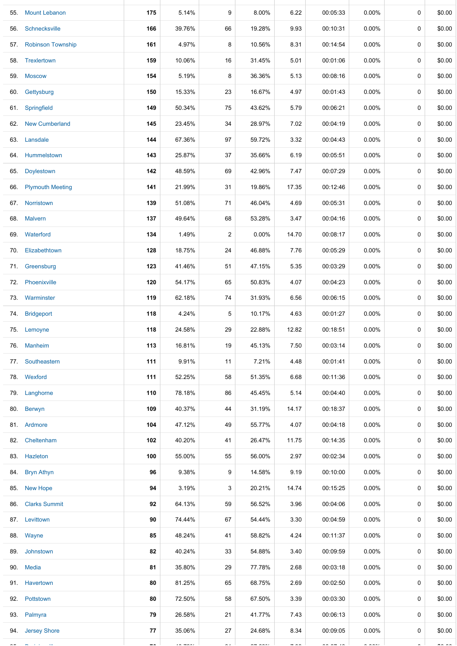|     | 55. Mount Lebanon     | 175 | 5.14%                         | 9                       | 8.00%       | 6.22        | 00:05:33   | 0.00%                | 0           | \$0.00        |
|-----|-----------------------|-----|-------------------------------|-------------------------|-------------|-------------|------------|----------------------|-------------|---------------|
| 56. | Schnecksville         | 166 | 39.76%                        | 66                      | 19.28%      | 9.93        | 00:10:31   | 0.00%                | 0           | \$0.00        |
|     | 57. Robinson Township | 161 | 4.97%                         | 8                       | 10.56%      | 8.31        | 00:14:54   | $0.00\%$             | 0           | \$0.00        |
| 58. | Trexlertown           | 159 | 10.06%                        | 16                      | 31.45%      | 5.01        | 00:01:06   | 0.00%                | 0           | \$0.00        |
|     | 59. Moscow            | 154 | 5.19%                         | 8                       | 36.36%      | 5.13        | 00:08:16   | 0.00%                | 0           | \$0.00        |
| 60. | Gettysburg            | 150 | 15.33%                        | 23                      | 16.67%      | 4.97        | 00:01:43   | $0.00\%$             | 0           | \$0.00        |
|     | 61. Springfield       | 149 | 50.34%                        | 75                      | 43.62%      | 5.79        | 00:06:21   | 0.00%                | 0           | \$0.00        |
|     | 62. New Cumberland    | 145 | 23.45%                        | 34                      | 28.97%      | 7.02        | 00:04:19   | 0.00%                | $\mathbf 0$ | \$0.00        |
|     | 63. Lansdale          | 144 | 67.36%                        | 97                      | 59.72%      | 3.32        | 00:04:43   | 0.00%                | 0           | \$0.00        |
|     | 64. Hummelstown       | 143 | 25.87%                        | 37                      | 35.66%      | 6.19        | 00:05:51   | 0.00%                | $\mathbf 0$ | \$0.00        |
| 65. | Doylestown            | 142 | 48.59%                        | 69                      | 42.96%      | 7.47        | 00:07:29   | $0.00\%$             | 0           | \$0.00        |
|     | 66. Plymouth Meeting  | 141 | 21.99%                        | 31                      | 19.86%      | 17.35       | 00:12:46   | $0.00\%$             | 0           | \$0.00        |
|     | 67. Norristown        | 139 | 51.08%                        | 71                      | 46.04%      | 4.69        | 00:05:31   | 0.00%                | 0           | \$0.00        |
|     | 68. Malvern           | 137 | 49.64%                        | 68                      | 53.28%      | 3.47        | 00:04:16   | 0.00%                | 0           | \$0.00        |
|     | 69. Waterford         | 134 | 1.49%                         | $\overline{\mathbf{c}}$ | 0.00%       | 14.70       | 00:08:17   | 0.00%                | 0           | \$0.00        |
| 70. | Elizabethtown         | 128 | 18.75%                        | 24                      | 46.88%      | 7.76        | 00:05:29   | 0.00%                | 0           | \$0.00        |
|     | 71. Greensburg        | 123 | 41.46%                        | 51                      | 47.15%      | 5.35        | 00:03:29   | 0.00%                | $\mathbf 0$ | \$0.00        |
| 72. | Phoenixville          | 120 | 54.17%                        | 65                      | 50.83%      | 4.07        | 00:04:23   | 0.00%                | 0           | \$0.00        |
|     | 73. Warminster        | 119 | 62.18%                        | 74                      | 31.93%      | 6.56        | 00:06:15   | $0.00\%$             | 0           | \$0.00        |
| 74. | <b>Bridgeport</b>     | 118 | 4.24%                         | 5                       | 10.17%      | 4.63        | 00:01:27   | $0.00\%$             | 0           | \$0.00        |
|     | 75. Lemoyne           | 118 | 24.58%                        | 29                      | 22.88%      | 12.82       | 00:18:51   | $0.00\%$             | 0           | \$0.00        |
|     | 76. Manheim           | 113 | 16.81%                        | 19                      | 45.13%      | 7.50        | 00:03:14   | 0.00%                | 0           | \$0.00        |
|     | 77. Southeastern      | 111 | 9.91%                         | 11                      | 7.21%       | 4.48        | 00:01:41   | $0.00\%$             | 0           | \$0.00        |
|     | 78. Wexford           | 111 | 52.25%                        | 58                      | 51.35%      | 6.68        | 00:11:36   | 0.00%                | 0           | \$0.00        |
|     | 79. Langhorne         | 110 | 78.18%                        | 86                      | 45.45%      | 5.14        | 00:04:40   | $0.00\%$             | 0           | \$0.00        |
|     | 80. Berwyn            | 109 | 40.37%                        | 44                      | 31.19%      | 14.17       | 00:18:37   | 0.00%                | $\mathbf 0$ | \$0.00        |
|     | 81. Ardmore           | 104 | 47.12%                        | 49                      | 55.77%      | 4.07        | 00:04:18   | $0.00\%$             | 0           | \$0.00        |
|     | 82. Cheltenham        | 102 | 40.20%                        | 41                      | 26.47%      | 11.75       | 00:14:35   | $0.00\%$             | 0           | \$0.00        |
|     | 83. Hazleton          | 100 | 55.00%                        | 55                      | 56.00%      | 2.97        | 00:02:34   | $0.00\%$             | 0           | \$0.00        |
|     | 84. Bryn Athyn        | 96  | 9.38%                         | 9                       | 14.58%      | 9.19        | 00:10:00   | $0.00\%$             | 0           | \$0.00        |
|     | 85. New Hope          | 94  | 3.19%                         | 3                       | 20.21%      | 14.74       | 00:15:25   | 0.00%                | 0           | \$0.00        |
|     | 86. Clarks Summit     | 92  | 64.13%                        | 59                      | 56.52%      | 3.96        | 00:04:06   | $0.00\%$             | 0           | \$0.00        |
|     | 87. Levittown         | 90  | 74.44%                        | 67                      | 54.44%      | 3.30        | 00:04:59   | 0.00%                | 0           | \$0.00        |
|     | 88. Wayne             | 85  | 48.24%                        | 41                      | 58.82%      | 4.24        | 00:11:37   | 0.00%                | 0           | \$0.00        |
|     | 89. Johnstown         | 82  | 40.24%                        | 33                      | 54.88%      | 3.40        | 00:09:59   | 0.00%                | $\mathbf 0$ | \$0.00        |
|     | 90. Media             | 81  | 35.80%                        | 29                      | 77.78%      | 2.68        | 00:03:18   | $0.00\%$             | 0           | \$0.00        |
|     | 91. Havertown         | 80  | 81.25%                        | 65                      | 68.75%      | 2.69        | 00:02:50   | $0.00\%$             | 0           | \$0.00        |
|     | 92. Pottstown         | 80  | 72.50%                        | 58                      | 67.50%      | 3.39        | 00:03:30   | $0.00\%$             | 0           | \$0.00        |
|     | 93. Palmyra           | 79  | 26.58%                        | 21                      | 41.77%      | 7.43        | 00:06:13   | $0.00\%$             | 0           | \$0.00        |
|     | 94. Jersey Shore      | 77  | 35.06%                        | 27                      | 24.68%      | 8.34        | 00:09:05   | $0.00\%$             | 0           | \$0.00        |
|     |                       | $-$ | $\overline{a}$ $\overline{a}$ | $\sim$                  | $- - - - -$ | $rac{1}{2}$ | $-20 - 10$ | $\sim$ $\sim$ $\sim$ |             | $\sim$ $\sim$ |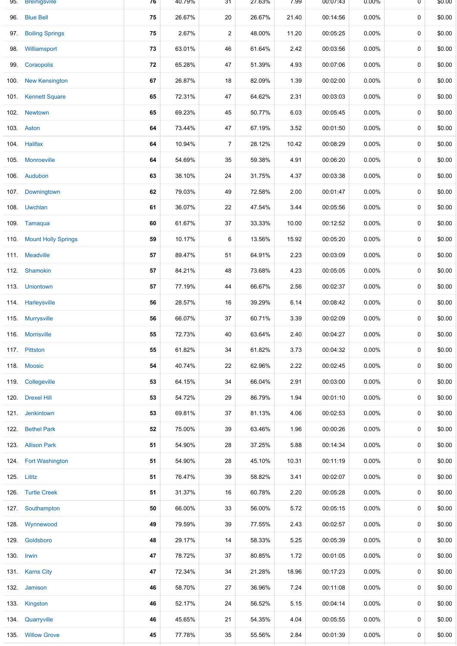| 95.  | <b>Breinigsville</b>     | 76 | 40.79% | 31             | 27.63% | 7.99  | 00:07:43 | $0.00\%$ | 0 | \$0.00 |
|------|--------------------------|----|--------|----------------|--------|-------|----------|----------|---|--------|
| 96.  | <b>Blue Bell</b>         | 75 | 26.67% | 20             | 26.67% | 21.40 | 00:14:56 | 0.00%    | 0 | \$0.00 |
| 97.  | <b>Boiling Springs</b>   | 75 | 2.67%  | $\overline{c}$ | 48.00% | 11.20 | 00:05:25 | 0.00%    | 0 | \$0.00 |
| 98.  | Williamsport             | 73 | 63.01% | 46             | 61.64% | 2.42  | 00:03:56 | 0.00%    | 0 | \$0.00 |
| 99.  | Coraopolis               | 72 | 65.28% | 47             | 51.39% | 4.93  | 00:07:06 | 0.00%    | 0 | \$0.00 |
|      | 100. New Kensington      | 67 | 26.87% | 18             | 82.09% | 1.39  | 00:02:00 | 0.00%    | 0 | \$0.00 |
|      | 101. Kennett Square      | 65 | 72.31% | 47             | 64.62% | 2.31  | 00:03:03 | 0.00%    | 0 | \$0.00 |
|      | 102. Newtown             | 65 | 69.23% | 45             | 50.77% | 6.03  | 00:05:45 | 0.00%    | 0 | \$0.00 |
|      | 103. Aston               | 64 | 73.44% | 47             | 67.19% | 3.52  | 00:01:50 | 0.00%    | 0 | \$0.00 |
|      | 104. Halifax             | 64 | 10.94% | $\overline{7}$ | 28.12% | 10.42 | 00:08:29 | 0.00%    | 0 | \$0.00 |
| 105. | Monroeville              | 64 | 54.69% | 35             | 59.38% | 4.91  | 00:06:20 | 0.00%    | 0 | \$0.00 |
|      | 106. Audubon             | 63 | 38.10% | 24             | 31.75% | 4.37  | 00:03:38 | 0.00%    | 0 | \$0.00 |
| 107. | Downingtown              | 62 | 79.03% | 49             | 72.58% | 2.00  | 00:01:47 | 0.00%    | 0 | \$0.00 |
|      | 108. Uwchlan             | 61 | 36.07% | 22             | 47.54% | 3.44  | 00:05:56 | 0.00%    | 0 | \$0.00 |
| 109. | Tamaqua                  | 60 | 61.67% | 37             | 33.33% | 10.00 | 00:12:52 | 0.00%    | 0 | \$0.00 |
|      | 110. Mount Holly Springs | 59 | 10.17% | 6              | 13.56% | 15.92 | 00:05:20 | 0.00%    | 0 | \$0.00 |
|      | 111. Meadville           | 57 | 89.47% | 51             | 64.91% | 2.23  | 00:03:09 | 0.00%    | 0 | \$0.00 |
|      | 112. Shamokin            | 57 | 84.21% | 48             | 73.68% | 4.23  | 00:05:05 | 0.00%    | 0 | \$0.00 |
|      | 113. Uniontown           | 57 | 77.19% | 44             | 66.67% | 2.56  | 00:02:37 | 0.00%    | 0 | \$0.00 |
|      | 114. Harleysville        | 56 | 28.57% | 16             | 39.29% | 6.14  | 00:08:42 | 0.00%    | 0 | \$0.00 |
|      | 115. Murrysville         | 56 | 66.07% | 37             | 60.71% | 3.39  | 00:02:09 | 0.00%    | 0 | \$0.00 |
| 116. | <b>Morrisville</b>       | 55 | 72.73% | 40             | 63.64% | 2.40  | 00:04:27 | 0.00%    | 0 | \$0.00 |
|      | 117. Pittston            | 55 | 61.82% | 34             | 61.82% | 3.73  | 00:04:32 | 0.00%    | 0 | \$0.00 |
|      | 118. Moosic              | 54 | 40.74% | 22             | 62.96% | 2.22  | 00:02:45 | 0.00%    | 0 | \$0.00 |
|      | 119. Collegeville        | 53 | 64.15% | 34             | 66.04% | 2.91  | 00:03:00 | 0.00%    | 0 | \$0.00 |
|      | 120. Drexel Hill         | 53 | 54.72% | 29             | 86.79% | 1.94  | 00:01:10 | 0.00%    | 0 | \$0.00 |
| 121. | Jenkintown               | 53 | 69.81% | 37             | 81.13% | 4.06  | 00:02:53 | $0.00\%$ | 0 | \$0.00 |
|      | 122. Bethel Park         | 52 | 75.00% | 39             | 63.46% | 1.96  | 00:00:26 | 0.00%    | 0 | \$0.00 |
| 123. | <b>Allison Park</b>      | 51 | 54.90% | 28             | 37.25% | 5.88  | 00:14:34 | 0.00%    | 0 | \$0.00 |
|      | 124. Fort Washington     | 51 | 54.90% | 28             | 45.10% | 10.31 | 00:11:19 | 0.00%    | 0 | \$0.00 |
| 125. | Lititz                   | 51 | 76.47% | 39             | 58.82% | 3.41  | 00:02:07 | $0.00\%$ | 0 | \$0.00 |
|      | 126. Turtle Creek        | 51 | 31.37% | 16             | 60.78% | 2.20  | 00:05:28 | $0.00\%$ | 0 | \$0.00 |
|      | 127. Southampton         | 50 | 66.00% | 33             | 56.00% | 5.72  | 00:05:15 | 0.00%    | 0 | \$0.00 |
|      | 128. Wynnewood           | 49 | 79.59% | 39             | 77.55% | 2.43  | 00:02:57 | 0.00%    | 0 | \$0.00 |
|      | 129. Goldsboro           | 48 | 29.17% | 14             | 58.33% | 5.25  | 00:05:39 | $0.00\%$ | 0 | \$0.00 |
|      | 130. Irwin               | 47 | 78.72% | 37             | 80.85% | 1.72  | 00:01:05 | 0.00%    | 0 | \$0.00 |
|      | 131. Karns City          | 47 | 72.34% | 34             | 21.28% | 18.96 | 00:17:23 | 0.00%    | 0 | \$0.00 |
| 132. | Jamison                  | 46 | 58.70% | 27             | 36.96% | 7.24  | 00:11:08 | 0.00%    | 0 | \$0.00 |
|      | 133. Kingston            | 46 | 52.17% | 24             | 56.52% | 5.15  | 00:04:14 | 0.00%    | 0 | \$0.00 |
|      | 134. Quarryville         | 46 | 45.65% | 21             | 54.35% | 4.04  | 00:05:55 | $0.00\%$ | 0 | \$0.00 |
|      | 135. Willow Grove        | 45 | 77.78% | 35             | 55.56% | 2.84  | 00:01:39 | 0.00%    | 0 | \$0.00 |
|      |                          |    |        |                |        |       |          |          |   |        |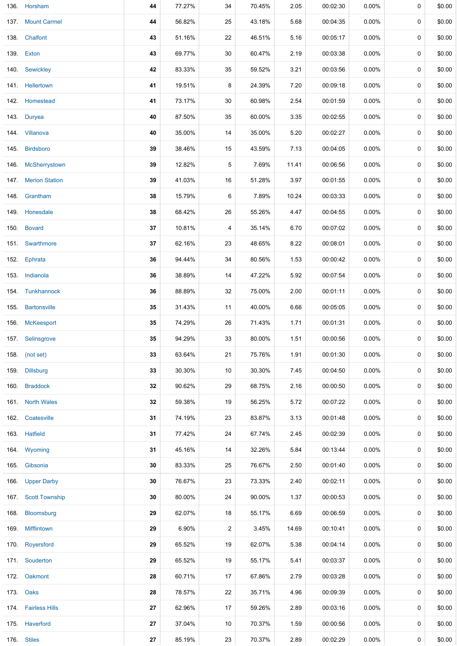|      | 136. Horsham        | 44 | 77.27% | 34             | 70.45% | 2.05  | 00:02:30 | 0.00%    | 0         | \$0.00 |
|------|---------------------|----|--------|----------------|--------|-------|----------|----------|-----------|--------|
| 137. | <b>Mount Carmel</b> | 44 | 56.82% | 25             | 43.18% | 5.68  | 00:04:35 | 0.00%    | $\pmb{0}$ | \$0.00 |
|      | 138. Chalfont       | 43 | 51.16% | 22             | 46.51% | 5.16  | 00:05:17 | $0.00\%$ | 0         | \$0.00 |
|      | 139. Exton          | 43 | 69.77% | 30             | 60.47% | 2.19  | 00:03:38 | 0.00%    | 0         | \$0.00 |
|      | 140. Sewickley      | 42 | 83.33% | 35             | 59.52% | 3.21  | 00:03:56 | $0.00\%$ | 0         | \$0.00 |
|      | 141 Hellertown      | 41 | 19.51% | 8              | 24.39% | 7.20  | 00:09:18 | 0.00%    | $\pmb{0}$ | \$0.00 |
|      | 142. Homestead      | 41 | 73.17% | 30             | 60.98% | 2.54  | 00:01:59 | $0.00\%$ | 0         | \$0.00 |
|      | 143. Duryea         | 40 | 87.50% | 35             | 60.00% | 3.35  | 00:02:55 | $0.00\%$ | 0         | \$0.00 |
|      | 144. Villanova      | 40 | 35.00% | 14             | 35.00% | 5.20  | 00:02:27 | $0.00\%$ | 0         | \$0.00 |
| 145. | <b>Birdsboro</b>    | 39 | 38.46% | 15             | 43.59% | 7.13  | 00:04:05 | $0.00\%$ | 0         | \$0.00 |
| 146. | McSherrystown       | 39 | 12.82% | 5              | 7.69%  | 11.41 | 00:06:56 | 0.00%    | 0         | \$0.00 |
|      | 147 Merion Station  | 39 | 41.03% | 16             | 51.28% | 3.97  | 00:01:55 | $0.00\%$ | 0         | \$0.00 |
| 148. | Grantham            | 38 | 15.79% | 6              | 7.89%  | 10.24 | 00:03:33 | 0.00%    | 0         | \$0.00 |
|      | 149. Honesdale      | 38 | 68.42% | 26             | 55.26% | 4.47  | 00:04:55 | 0.00%    | 0         | \$0.00 |
|      | 150. Bovard         | 37 | 10.81% | 4              | 35.14% | 6.70  | 00:07:02 | 0.00%    | 0         | \$0.00 |
|      | 151. Swarthmore     | 37 | 62.16% | 23             | 48.65% | 8.22  | 00:08:01 | $0.00\%$ | 0         | \$0.00 |
|      | 152. Ephrata        | 36 | 94.44% | 34             | 80.56% | 1.53  | 00:00:42 | 0.00%    | 0         | \$0.00 |
| 153. | Indianola           | 36 | 38.89% | 14             | 47.22% | 5.92  | 00:07:54 | $0.00\%$ | 0         | \$0.00 |
|      | 154. Tunkhannock    | 36 | 88.89% | 32             | 75.00% | 2.00  | 00:01:11 | $0.00\%$ | 0         | \$0.00 |
| 155. | <b>Bartonsville</b> | 35 | 31.43% | 11             | 40.00% | 6.66  | 00:05:05 | $0.00\%$ | 0         | \$0.00 |
| 156. | <b>McKeesport</b>   | 35 | 74.29% | 26             | 71.43% | 1.71  | 00:01:31 | $0.00\%$ | 0         | \$0.00 |
|      | 157. Selinsgrove    | 35 | 94.29% | 33             | 80.00% | 1.51  | 00:00:56 | 0.00%    | 0         | \$0.00 |
|      | 158. $(not set)$    | 33 | 63.64% | 21             | 75.76% | 1.91  | 00:01:30 | 0.00%    | 0         | \$0.00 |
|      | 159. Dillsburg      | 33 | 30.30% | 10             | 30.30% | 7.45  | 00:04:50 | $0.00\%$ | 0         | \$0.00 |
|      | 160. Braddock       | 32 | 90.62% | 29             | 68.75% | 2.16  | 00:00:50 | $0.00\%$ | 0         | \$0.00 |
|      | 161 North Wales     | 32 | 59.38% | 19             | 56.25% | 5.72  | 00:07:22 | $0.00\%$ | 0         | \$0.00 |
|      | 162. Coatesville    | 31 | 74.19% | 23             | 83.87% | 3.13  | 00:01:48 | $0.00\%$ | 0         | \$0.00 |
|      | 163. Hatfield       | 31 | 77.42% | 24             | 67.74% | 2.45  | 00:02:39 | $0.00\%$ | 0         | \$0.00 |
|      | 164. Wyoming        | 31 | 45.16% | 14             | 32.26% | 5.84  | 00:13:44 | $0.00\%$ | 0         | \$0.00 |
|      | 165. Gibsonia       | 30 | 83.33% | 25             | 76.67% | 2.50  | 00:01:40 | $0.00\%$ | 0         | \$0.00 |
|      | 166. Upper Darby    | 30 | 76.67% | 23             | 73.33% | 2.40  | 00:02:11 | $0.00\%$ | 0         | \$0.00 |
|      | 167. Scott Township | 30 | 80.00% | 24             | 90.00% | 1.37  | 00:00:53 | $0.00\%$ | 0         | \$0.00 |
|      | 168. Bloomsburg     | 29 | 62.07% | 18             | 55.17% | 6.69  | 00:06:59 | $0.00\%$ | 0         | \$0.00 |
|      | 169. Mifflintown    | 29 | 6.90%  | $\overline{2}$ | 3.45%  | 14.69 | 00:10:41 | $0.00\%$ | 0         | \$0.00 |
|      | 170. Royersford     | 29 | 65.52% | 19             | 62.07% | 5.38  | 00:04:14 | $0.00\%$ | 0         | \$0.00 |
|      | 171. Souderton      | 29 | 65.52% | 19             | 55.17% | 5.41  | 00:03:37 | $0.00\%$ | 0         | \$0.00 |
|      | 172. Oakmont        | 28 | 60.71% | 17             | 67.86% | 2.79  | 00:03:28 | $0.00\%$ | 0         | \$0.00 |
|      | 173. Oaks           | 28 | 78.57% | 22             | 35.71% | 4.96  | 00:09:39 | $0.00\%$ | 0         | \$0.00 |
|      | 174 Fairless Hills  | 27 | 62.96% | 17             | 59.26% | 2.89  | 00:03:16 | $0.00\%$ | 0         | \$0.00 |
|      | 175. Haverford      | 27 | 37.04% | 10             | 70.37% | 1.59  | 00:00:56 | $0.00\%$ | 0         | \$0.00 |
|      | 176. Stiles         | 27 | 85.19% | 23             | 70.37% | 2.89  | 00:02:29 | $0.00\%$ | 0         | \$0.00 |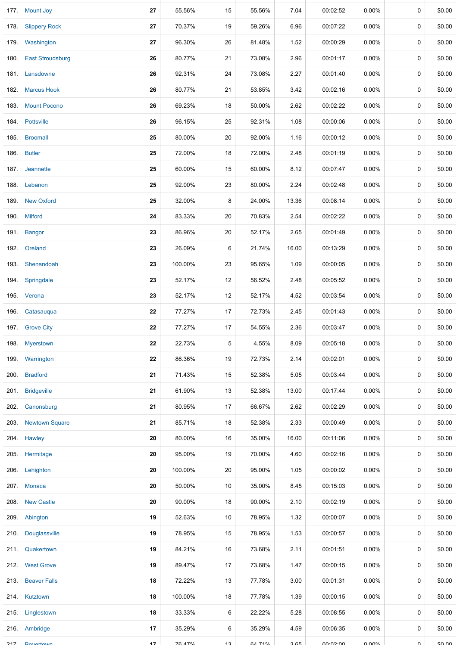|      | 177 Mount Joy         | 27 | 55.56%  | 15 | 55.56%        | 7.04        | 00:02:52 | $0.00\%$ | 0        | \$0.00  |
|------|-----------------------|----|---------|----|---------------|-------------|----------|----------|----------|---------|
|      | 178. Slippery Rock    | 27 | 70.37%  | 19 | 59.26%        | 6.96        | 00:07:22 | 0.00%    | 0        | \$0.00  |
|      | 179. Washington       | 27 | 96.30%  | 26 | 81.48%        | 1.52        | 00:00:29 | 0.00%    | 0        | \$0.00  |
|      | 180. East Stroudsburg | 26 | 80.77%  | 21 | 73.08%        | 2.96        | 00:01:17 | 0.00%    | 0        | \$0.00  |
|      | 181. Lansdowne        | 26 | 92.31%  | 24 | 73.08%        | 2.27        | 00:01:40 | 0.00%    | 0        | \$0.00  |
|      | 182. Marcus Hook      | 26 | 80.77%  | 21 | 53.85%        | 3.42        | 00:02:16 | 0.00%    | 0        | \$0.00  |
|      | 183. Mount Pocono     | 26 | 69.23%  | 18 | 50.00%        | 2.62        | 00:02:22 | 0.00%    | 0        | \$0.00  |
|      | 184. Pottsville       | 26 | 96.15%  | 25 | 92.31%        | 1.08        | 00:00:06 | 0.00%    | 0        | \$0.00  |
| 185. | <b>Broomall</b>       | 25 | 80.00%  | 20 | 92.00%        | 1.16        | 00:00:12 | 0.00%    | 0        | \$0.00  |
|      | 186. Butler           | 25 | 72.00%  | 18 | 72.00%        | 2.48        | 00:01:19 | $0.00\%$ | 0        | \$0.00  |
|      | 187. Jeannette        | 25 | 60.00%  | 15 | 60.00%        | 8.12        | 00:07:47 | 0.00%    | 0        | \$0.00  |
|      | 188. Lebanon          | 25 | 92.00%  | 23 | 80.00%        | 2.24        | 00:02:48 | 0.00%    | 0        | \$0.00  |
|      | 189. New Oxford       | 25 | 32.00%  | 8  | 24.00%        | 13.36       | 00:08:14 | 0.00%    | 0        | \$0.00  |
|      | 190. Milford          | 24 | 83.33%  | 20 | 70.83%        | 2.54        | 00:02:22 | 0.00%    | 0        | \$0.00  |
|      | 191. Bangor           | 23 | 86.96%  | 20 | 52.17%        | 2.65        | 00:01:49 | 0.00%    | 0        | \$0.00  |
|      | 192. Oreland          | 23 | 26.09%  | 6  | 21.74%        | 16.00       | 00:13:29 | 0.00%    | 0        | \$0.00  |
|      | 193. Shenandoah       | 23 | 100.00% | 23 | 95.65%        | 1.09        | 00:00:05 | 0.00%    | 0        | \$0.00  |
|      | 194. Springdale       | 23 | 52.17%  | 12 | 56.52%        | 2.48        | 00:05:52 | 0.00%    | 0        | \$0.00  |
|      | 195. Verona           | 23 | 52.17%  | 12 | 52.17%        | 4.52        | 00:03:54 | 0.00%    | 0        | \$0.00  |
|      | 196 Catasaugua        | 22 | 77.27%  | 17 | 72.73%        | 2.45        | 00:01:43 | 0.00%    | 0        | \$0.00  |
|      | 197. Grove City       | 22 | 77.27%  | 17 | 54.55%        | 2.36        | 00:03:47 | $0.00\%$ | $\Omega$ | \$0.00  |
|      | 198 Myerstown         | 22 | 22.73%  | 5  | 4.55%         | 8.09        | 00:05:18 | $0.00\%$ | 0        | \$0.00  |
|      | 199 Warrington        | 22 | 86.36%  | 19 | 72.73%        | 2.14        | 00:02:01 | 0.00%    | 0        | \$0.00  |
|      | 200. Bradford         | 21 | 71.43%  | 15 | 52.38%        | 5.05        | 00:03:44 | $0.00\%$ | 0        | \$0.00  |
|      | 201. Bridgeville      | 21 | 61.90%  | 13 | 52.38%        | 13.00       | 00:17:44 | 0.00%    | 0        | \$0.00  |
|      | 202. Canonsburg       | 21 | 80.95%  | 17 | 66.67%        | 2.62        | 00:02:29 | 0.00%    | 0        | \$0.00  |
|      | 203. Newtown Square   | 21 | 85.71%  | 18 | 52.38%        | 2.33        | 00:00:49 | 0.00%    | 0        | \$0.00  |
|      | 204. Hawley           | 20 | 80.00%  | 16 | 35.00%        | 16.00       | 00:11:06 | 0.00%    | 0        | \$0.00  |
|      | 205. Hermitage        | 20 | 95.00%  | 19 | 70.00%        | 4.60        | 00:02:16 | 0.00%    | 0        | \$0.00  |
|      | 206. Lehighton        | 20 | 100.00% | 20 | 95.00%        | 1.05        | 00:00:02 | 0.00%    | 0        | \$0.00  |
|      | 207. Monaca           | 20 | 50.00%  | 10 | 35.00%        | 8.45        | 00:15:03 | 0.00%    | 0        | \$0.00  |
|      | 208. New Castle       | 20 | 90.00%  | 18 | 90.00%        | 2.10        | 00:02:19 | 0.00%    | 0        | \$0.00  |
|      | 209. Abington         | 19 | 52.63%  | 10 | 78.95%        | 1.32        | 00:00:07 | 0.00%    | $\Omega$ | \$0.00  |
|      | 210. Douglassville    | 19 | 78.95%  | 15 | 78.95%        | 1.53        | 00:00:57 | 0.00%    | 0        | \$0.00  |
|      | 211 Quakertown        | 19 | 84.21%  | 16 | 73.68%        | 2.11        | 00:01:51 | $0.00\%$ | 0        | \$0.00  |
|      | 212. West Grove       | 19 | 89.47%  | 17 | 73.68%        | 1.47        | 00:00:15 | 0.00%    | 0        | \$0.00  |
|      | 213. Beaver Falls     | 18 | 72.22%  | 13 | 77.78%        | 3.00        | 00:01:31 | 0.00%    | 0        | \$0.00  |
|      | 214. Kutztown         | 18 | 100.00% | 18 | 77.78%        | 1.39        | 00:00:15 | 0.00%    | 0        | \$0.00  |
|      | 215. Linglestown      | 18 | 33.33%  | 6  | 22.22%        | 5.28        | 00:08:55 | $0.00\%$ | 0        | \$0.00  |
|      | 216. Ambridge         | 17 | 35.29%  | 6  | 35.29%        | 4.59        | 00:06:35 | 0.00%    | $\Omega$ | \$0.00  |
| 217  | Rovertown             | 17 | 76 47%  | 13 | <b>64 71%</b> | <b>3 RF</b> | uu cu uu | VoUU U   | $\cap$   | $CD$ 00 |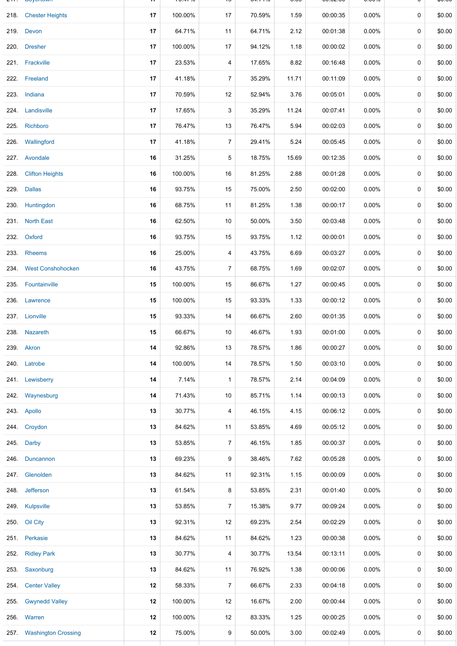|      | <b>DUYCROWIT</b>         |    | 10.7170 | ∪י             | $0 - 110$ | v.vv  | 00.02.00 | <b>0.000</b> |   | ψυ.υυ  |
|------|--------------------------|----|---------|----------------|-----------|-------|----------|--------------|---|--------|
|      | 218. Chester Heights     | 17 | 100.00% | 17             | 70.59%    | 1.59  | 00:00:35 | $0.00\%$     | 0 | \$0.00 |
|      | 219. Devon               | 17 | 64.71%  | 11             | 64.71%    | 2.12  | 00:01:38 | $0.00\%$     | 0 | \$0.00 |
|      | 220. Dresher             | 17 | 100.00% | 17             | 94.12%    | 1.18  | 00:00:02 | $0.00\%$     | 0 | \$0.00 |
|      | 221. Frackville          | 17 | 23.53%  | 4              | 17.65%    | 8.82  | 00:16:48 | $0.00\%$     | 0 | \$0.00 |
|      | 222. Freeland            | 17 | 41.18%  | $\overline{7}$ | 35.29%    | 11.71 | 00:11:09 | $0.00\%$     | 0 | \$0.00 |
|      | 223. Indiana             | 17 | 70.59%  | 12             | 52.94%    | 3.76  | 00:05:01 | $0.00\%$     | 0 | \$0.00 |
|      | 224. Landisville         | 17 | 17.65%  | 3              | 35.29%    | 11.24 | 00:07:41 | $0.00\%$     | 0 | \$0.00 |
|      | 225. Richboro            | 17 | 76.47%  | 13             | 76.47%    | 5.94  | 00:02:03 | $0.00\%$     | 0 | \$0.00 |
|      | 226. Wallingford         | 17 | 41.18%  | $\overline{7}$ | 29.41%    | 5.24  | 00:05:45 | $0.00\%$     | 0 | \$0.00 |
|      | 227. Avondale            | 16 | 31.25%  | 5              | 18.75%    | 15.69 | 00:12:35 | $0.00\%$     | 0 | \$0.00 |
|      | 228. Clifton Heights     | 16 | 100.00% | 16             | 81.25%    | 2.88  | 00:01:28 | $0.00\%$     | 0 | \$0.00 |
|      | 229. Dallas              | 16 | 93.75%  | 15             | 75.00%    | 2.50  | 00:02:00 | $0.00\%$     | 0 | \$0.00 |
|      | 230. Huntingdon          | 16 | 68.75%  | 11             | 81.25%    | 1.38  | 00:00:17 | 0.00%        | 0 | \$0.00 |
|      | 231. North East          | 16 | 62.50%  | 10             | 50.00%    | 3.50  | 00:03:48 | $0.00\%$     | 0 | \$0.00 |
|      | 232. Oxford              | 16 | 93.75%  | 15             | 93.75%    | 1.12  | 00:00:01 | $0.00\%$     | 0 | \$0.00 |
|      | 233. Rheems              | 16 | 25.00%  | 4              | 43.75%    | 6.69  | 00:03:27 | $0.00\%$     | 0 | \$0.00 |
|      | 234. West Conshohocken   | 16 | 43.75%  | $\overline{7}$ | 68.75%    | 1.69  | 00:02:07 | $0.00\%$     | 0 | \$0.00 |
|      | 235. Fountainville       | 15 | 100.00% | 15             | 86.67%    | 1.27  | 00:00:45 | $0.00\%$     | 0 | \$0.00 |
|      | 236. Lawrence            | 15 | 100.00% | 15             | 93.33%    | 1.33  | 00:00:12 | $0.00\%$     | 0 | \$0.00 |
|      | 237. Lionville           | 15 | 93.33%  | 14             | 66.67%    | 2.60  | 00:01:35 | $0.00\%$     | 0 | \$0.00 |
|      | 238. Nazareth            | 15 | 66.67%  | 10             | 46.67%    | 1.93  | 00:01:00 | $0.00\%$     | 0 | \$0.00 |
|      | 239. Akron               | 14 | 92.86%  | 13             | 78.57%    | 1.86  | 00:00:27 | 0.00%        | 0 | \$0.00 |
|      | 240. Latrobe             | 14 | 100.00% | 14             | 78.57%    | 1.50  | 00:03:10 | $0.00\%$     | 0 | \$0.00 |
|      | 241. Lewisberry          | 14 | 7.14%   | 1              | 78.57%    | 2.14  | 00:04:09 | $0.00\%$     | 0 | \$0.00 |
|      | 242. Waynesburg          | 14 | 71.43%  | 10             | 85.71%    | 1.14  | 00:00:13 | $0.00\%$     | 0 | \$0.00 |
|      | 243. Apollo              | 13 | 30.77%  | 4              | 46.15%    | 4.15  | 00:06:12 | $0.00\%$     | 0 | \$0.00 |
|      | 244. Croydon             | 13 | 84.62%  | 11             | 53.85%    | 4.69  | 00:05:12 | $0.00\%$     | 0 | \$0.00 |
|      | 245. Darby               | 13 | 53.85%  | $\overline{7}$ | 46.15%    | 1.85  | 00:00:37 | $0.00\%$     | 0 | \$0.00 |
| 246. | Duncannon                | 13 | 69.23%  | 9              | 38.46%    | 7.62  | 00:05:28 | $0.00\%$     | 0 | \$0.00 |
|      | 247. Glenolden           | 13 | 84.62%  | 11             | 92.31%    | 1.15  | 00:00:09 | $0.00\%$     | 0 | \$0.00 |
|      | 248. Jefferson           | 13 | 61.54%  | 8              | 53.85%    | 2.31  | 00:01:40 | 0.00%        | 0 | \$0.00 |
|      | 249. Kulpsville          | 13 | 53.85%  | $\overline{7}$ | 15.38%    | 9.77  | 00:09:24 | $0.00\%$     | 0 | \$0.00 |
|      | 250. Oil City            | 13 | 92.31%  | 12             | 69.23%    | 2.54  | 00:02:29 | $0.00\%$     | 0 | \$0.00 |
|      | 251. Perkasie            | 13 | 84.62%  | 11             | 84.62%    | 1.23  | 00:00:38 | $0.00\%$     | 0 | \$0.00 |
|      | 252. Ridley Park         | 13 | 30.77%  | 4              | 30.77%    | 13.54 | 00:13:11 | $0.00\%$     | 0 | \$0.00 |
|      | 253. Saxonburg           | 13 | 84.62%  | 11             | 76.92%    | 1.38  | 00:00:06 | $0.00\%$     | 0 | \$0.00 |
|      | 254. Center Valley       | 12 | 58.33%  | $\overline{7}$ | 66.67%    | 2.33  | 00:04:18 | $0.00\%$     | 0 | \$0.00 |
| 255. | <b>Gwynedd Valley</b>    | 12 | 100.00% | 12             | 16.67%    | 2.00  | 00:00:44 | $0.00\%$     | 0 | \$0.00 |
|      | 256. Warren              | 12 | 100.00% | 12             | 83.33%    | 1.25  | 00:00:25 | $0.00\%$     | 0 | \$0.00 |
|      | 257. Washington Crossing | 12 | 75.00%  | 9              | 50.00%    | 3.00  | 00:02:49 | 0.00%        | 0 | \$0.00 |
|      |                          |    |         |                |           |       |          |              |   |        |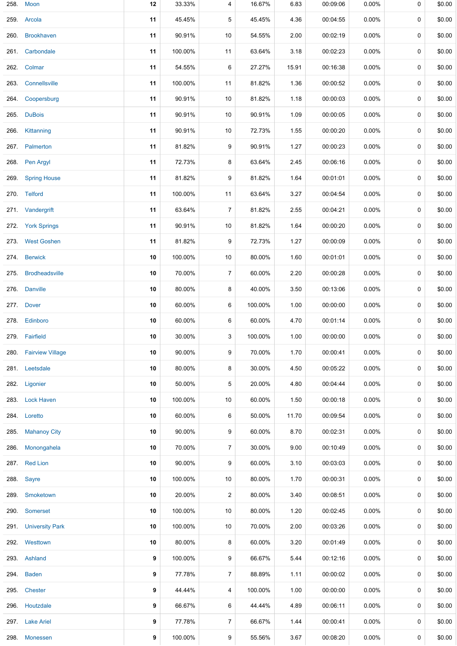| 258. | Moon                    | 12 | 33.33%  | 4              | 16.67%  | 6.83  | 00:09:06 | 0.00%    | 0         | \$0.00 |
|------|-------------------------|----|---------|----------------|---------|-------|----------|----------|-----------|--------|
|      | 259. Arcola             | 11 | 45.45%  | 5              | 45.45%  | 4.36  | 00:04:55 | $0.00\%$ | 0         | \$0.00 |
| 260. | <b>Brookhaven</b>       | 11 | 90.91%  | 10             | 54.55%  | 2.00  | 00:02:19 | $0.00\%$ | 0         | \$0.00 |
|      | 261. Carbondale         | 11 | 100.00% | 11             | 63.64%  | 3.18  | 00:02:23 | $0.00\%$ | 0         | \$0.00 |
| 262. | Colmar                  | 11 | 54.55%  | 6              | 27.27%  | 15.91 | 00:16:38 | 0.00%    | 0         | \$0.00 |
|      | 263. Connellsville      | 11 | 100.00% | 11             | 81.82%  | 1.36  | 00:00:52 | $0.00\%$ | 0         | \$0.00 |
|      | 264. Coopersburg        | 11 | 90.91%  | 10             | 81.82%  | 1.18  | 00:00:03 | 0.00%    | $\pmb{0}$ | \$0.00 |
|      | 265. DuBois             | 11 | 90.91%  | 10             | 90.91%  | 1.09  | 00:00:05 | $0.00\%$ | 0         | \$0.00 |
| 266. | Kittanning              | 11 | 90.91%  | 10             | 72.73%  | 1.55  | 00:00:20 | $0.00\%$ | 0         | \$0.00 |
|      | 267. Palmerton          | 11 | 81.82%  | 9              | 90.91%  | 1.27  | 00:00:23 | $0.00\%$ | 0         | \$0.00 |
|      | 268. Pen Argyl          | 11 | 72.73%  | 8              | 63.64%  | 2.45  | 00:06:16 | $0.00\%$ | 0         | \$0.00 |
| 269. | <b>Spring House</b>     | 11 | 81.82%  | 9              | 81.82%  | 1.64  | 00:01:01 | $0.00\%$ | 0         | \$0.00 |
|      | 270. Telford            | 11 | 100.00% | 11             | 63.64%  | 3.27  | 00:04:54 | $0.00\%$ | 0         | \$0.00 |
|      | 271. Vandergrift        | 11 | 63.64%  | $\overline{7}$ | 81.82%  | 2.55  | 00:04:21 | 0.00%    | 0         | \$0.00 |
|      | 272. York Springs       | 11 | 90.91%  | 10             | 81.82%  | 1.64  | 00:00:20 | 0.00%    | 0         | \$0.00 |
|      | 273. West Goshen        | 11 | 81.82%  | 9              | 72.73%  | 1.27  | 00:00:09 | 0.00%    | 0         | \$0.00 |
|      | 274. Berwick            | 10 | 100.00% | 10             | 80.00%  | 1.60  | 00:01:01 | $0.00\%$ | 0         | \$0.00 |
|      | 275. Brodheadsville     | 10 | 70.00%  | $\overline{7}$ | 60.00%  | 2.20  | 00:00:28 | $0.00\%$ | 0         | \$0.00 |
| 276. | <b>Danville</b>         | 10 | 80.00%  | 8              | 40.00%  | 3.50  | 00:13:06 | $0.00\%$ | 0         | \$0.00 |
|      | 277. Dover              | 10 | 60.00%  | 6              | 100.00% | 1.00  | 00:00:00 | $0.00\%$ | 0         | \$0.00 |
| 278. | Edinboro                | 10 | 60.00%  | 6              | 60.00%  | 4.70  | 00:01:14 | $0.00\%$ | 0         | \$0.00 |
|      | 279. Fairfield          | 10 | 30.00%  | 3              | 100.00% | 1.00  | 00:00:00 | 0.00%    | 0         | \$0.00 |
| 280. | <b>Fairview Village</b> | 10 | 90.00%  | 9              | 70.00%  | 1.70  | 00:00:41 | 0.00%    | 0         | \$0.00 |
|      | 281. Leetsdale          | 10 | 80.00%  | 8              | 30.00%  | 4.50  | 00:05:22 | $0.00\%$ | 0         | \$0.00 |
|      | 282. Ligonier           | 10 | 50.00%  | 5              | 20.00%  | 4.80  | 00:04:44 | 0.00%    | 0         | \$0.00 |
|      | 283. Lock Haven         | 10 | 100.00% | 10             | 60.00%  | 1.50  | 00:00:18 | $0.00\%$ | 0         | \$0.00 |
|      | 284. Loretto            | 10 | 60.00%  | 6              | 50.00%  | 11.70 | 00:09:54 | $0.00\%$ | 0         | \$0.00 |
| 285. | <b>Mahanoy City</b>     | 10 | 90.00%  | 9              | 60.00%  | 8.70  | 00:02:31 | $0.00\%$ | 0         | \$0.00 |
| 286. | Monongahela             | 10 | 70.00%  | 7              | 30.00%  | 9.00  | 00:10:49 | $0.00\%$ | 0         | \$0.00 |
| 287. | <b>Red Lion</b>         | 10 | 90.00%  | 9              | 60.00%  | 3.10  | 00:03:03 | 0.00%    | 0         | \$0.00 |
|      | 288. Sayre              | 10 | 100.00% | 10             | 80.00%  | 1.70  | 00:00:31 | $0.00\%$ | 0         | \$0.00 |
| 289. | Smoketown               | 10 | 20.00%  | 2              | 80.00%  | 3.40  | 00:08:51 | $0.00\%$ | 0         | \$0.00 |
| 290. | Somerset                | 10 | 100.00% | 10             | 80.00%  | 1.20  | 00:02:45 | 0.00%    | 0         | \$0.00 |
|      | 291. University Park    | 10 | 100.00% | 10             | 70.00%  | 2.00  | 00:03:26 | 0.00%    | 0         | \$0.00 |
|      | 292. Westtown           | 10 | 80.00%  | 8              | 60.00%  | 3.20  | 00:01:49 | $0.00\%$ | 0         | \$0.00 |
|      | 293. Ashland            | 9  | 100.00% | 9              | 66.67%  | 5.44  | 00:12:16 | $0.00\%$ | 0         | \$0.00 |
| 294. | <b>Baden</b>            | 9  | 77.78%  | $\overline{7}$ | 88.89%  | 1.11  | 00:00:02 | $0.00\%$ | 0         | \$0.00 |
|      | 295. Chester            | 9  | 44.44%  | 4              | 100.00% | 1.00  | 00:00:00 | $0.00\%$ | 0         | \$0.00 |
| 296. | Houtzdale               | 9  | 66.67%  | 6              | 44.44%  | 4.89  | 00:06:11 | 0.00%    | 0         | \$0.00 |
|      | 297. Lake Ariel         | 9  | 77.78%  | 7              | 66.67%  | 1.44  | 00:00:41 | $0.00\%$ | 0         | \$0.00 |
|      | 298. Monessen           | 9  | 100.00% | 9              | 55.56%  | 3.67  | 00:08:20 | 0.00%    | 0         | \$0.00 |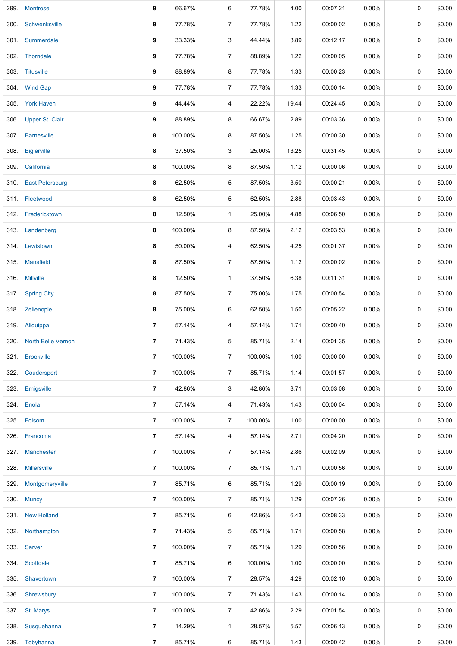|      | 299. Montrose           | 9              | 66.67%  | 6              | 77.78%  | 4.00  | 00:07:21 | 0.00%    | 0 | \$0.00 |
|------|-------------------------|----------------|---------|----------------|---------|-------|----------|----------|---|--------|
|      | 300. Schwenksville      | 9              | 77.78%  | 7              | 77.78%  | 1.22  | 00:00:02 | 0.00%    | 0 | \$0.00 |
|      | 301. Summerdale         | 9              | 33.33%  | 3              | 44.44%  | 3.89  | 00:12:17 | 0.00%    | 0 | \$0.00 |
|      | 302. Thorndale          | 9              | 77.78%  | $\overline{7}$ | 88.89%  | 1.22  | 00:00:05 | 0.00%    | 0 | \$0.00 |
|      | 303. Titusville         | 9              | 88.89%  | 8              | 77.78%  | 1.33  | 00:00:23 | 0.00%    | 0 | \$0.00 |
|      | 304. Wind Gap           | 9              | 77.78%  | $\overline{7}$ | 77.78%  | 1.33  | 00:00:14 | 0.00%    | 0 | \$0.00 |
|      | 305. York Haven         | 9              | 44.44%  | 4              | 22.22%  | 19.44 | 00:24:45 | 0.00%    | 0 | \$0.00 |
|      | 306. Upper St. Clair    | 9              | 88.89%  | 8              | 66.67%  | 2.89  | 00:03:36 | 0.00%    | 0 | \$0.00 |
|      | 307. Barnesville        | 8              | 100.00% | 8              | 87.50%  | 1.25  | 00:00:30 | 0.00%    | 0 | \$0.00 |
|      | 308. Biglerville        | 8              | 37.50%  | 3              | 25.00%  | 13.25 | 00:31:45 | $0.00\%$ | 0 | \$0.00 |
|      | 309. California         | 8              | 100.00% | 8              | 87.50%  | 1.12  | 00:00:06 | 0.00%    | 0 | \$0.00 |
|      | 310. East Petersburg    | 8              | 62.50%  | 5              | 87.50%  | 3.50  | 00:00:21 | 0.00%    | 0 | \$0.00 |
|      | 311. Fleetwood          | 8              | 62.50%  | 5              | 62.50%  | 2.88  | 00:03:43 | $0.00\%$ | 0 | \$0.00 |
|      | 312. Fredericktown      | 8              | 12.50%  | $\mathbf{1}$   | 25.00%  | 4.88  | 00:06:50 | 0.00%    | 0 | \$0.00 |
|      | 313. Landenberg         | 8              | 100.00% | 8              | 87.50%  | 2.12  | 00:03:53 | $0.00\%$ | 0 | \$0.00 |
|      | 314. Lewistown          | 8              | 50.00%  | 4              | 62.50%  | 4.25  | 00:01:37 | $0.00\%$ | 0 | \$0.00 |
|      | 315. Mansfield          | 8              | 87.50%  | $\overline{7}$ | 87.50%  | 1.12  | 00:00:02 | $0.00\%$ | 0 | \$0.00 |
|      | 316. Millville          | 8              | 12.50%  | $\mathbf{1}$   | 37.50%  | 6.38  | 00:11:31 | $0.00\%$ | 0 | \$0.00 |
|      | 317. Spring City        | 8              | 87.50%  | $\overline{7}$ | 75.00%  | 1.75  | 00:00:54 | 0.00%    | 0 | \$0.00 |
|      | 318. Zelienople         | 8              | 75.00%  | 6              | 62.50%  | 1.50  | 00:05:22 | $0.00\%$ | 0 | \$0.00 |
|      | 319. Aliquippa          | $\overline{7}$ | 57.14%  | 4              | 57.14%  | 1.71  | 00:00:40 | $0.00\%$ | 0 | \$0.00 |
|      | 320. North Belle Vernon | $\overline{7}$ | 71.43%  | 5              | 85.71%  | 2.14  | 00:01:35 | $0.00\%$ | 0 | \$0.00 |
|      | 321. Brookville         | $\overline{7}$ | 100.00% | $\overline{7}$ | 100.00% | 1.00  | 00:00:00 | 0.00%    | 0 | \$0.00 |
| 322. | Coudersport             | $\overline{7}$ | 100.00% | $\overline{7}$ | 85.71%  | 1.14  | 00:01:57 | 0.00%    | 0 | \$0.00 |
| 323. | Emigsville              | 7              | 42.86%  | 3              | 42.86%  | 3.71  | 00:03:08 | 0.00%    | 0 | \$0.00 |
|      | 324. Enola              | $\overline{7}$ | 57.14%  | 4              | 71.43%  | 1.43  | 00:00:04 | 0.00%    | 0 | \$0.00 |
|      | 325. Folsom             | 7              | 100.00% | $\overline{7}$ | 100.00% | 1.00  | 00:00:00 | $0.00\%$ | 0 | \$0.00 |
| 326. | Franconia               | $\overline{7}$ | 57.14%  | 4              | 57.14%  | 2.71  | 00:04:20 | 0.00%    | 0 | \$0.00 |
| 327. | Manchester              | 7              | 100.00% | $\overline{7}$ | 57.14%  | 2.86  | 00:02:09 | $0.00\%$ | 0 | \$0.00 |
| 328. | <b>Millersville</b>     | $\overline{7}$ | 100.00% | $\overline{7}$ | 85.71%  | 1.71  | 00:00:56 | 0.00%    | 0 | \$0.00 |
| 329. | Montgomeryville         | $\overline{7}$ | 85.71%  | 6              | 85.71%  | 1.29  | 00:00:19 | 0.00%    | 0 | \$0.00 |
| 330. | <b>Muncy</b>            | $\overline{7}$ | 100.00% | $\overline{7}$ | 85.71%  | 1.29  | 00:07:26 | 0.00%    | 0 | \$0.00 |
|      | 331 New Holland         | $\overline{7}$ | 85.71%  | 6              | 42.86%  | 6.43  | 00:08:33 | 0.00%    | 0 | \$0.00 |
| 332. | Northampton             | 7              | 71.43%  | 5              | 85.71%  | 1.71  | 00:00:58 | 0.00%    | 0 | \$0.00 |
|      | 333. Sarver             | 7              | 100.00% | $\overline{7}$ | 85.71%  | 1.29  | 00:00:56 | 0.00%    | 0 | \$0.00 |
|      | 334. Scottdale          | 7              | 85.71%  | 6              | 100.00% | 1.00  | 00:00:00 | 0.00%    | 0 | \$0.00 |
| 335. | Shavertown              | $\overline{7}$ | 100.00% | $\overline{7}$ | 28.57%  | 4.29  | 00:02:10 | 0.00%    | 0 | \$0.00 |
| 336. | Shrewsbury              | 7              | 100.00% | $\overline{7}$ | 71.43%  | 1.43  | 00:00:14 | $0.00\%$ | 0 | \$0.00 |
| 337. | St. Marys               | $\overline{7}$ | 100.00% | $\overline{7}$ | 42.86%  | 2.29  | 00:01:54 | 0.00%    | 0 | \$0.00 |
|      | 338. Susquehanna        | $\overline{7}$ | 14.29%  | $\mathbf{1}$   | 28.57%  | 5.57  | 00:06:13 | 0.00%    | 0 | \$0.00 |
|      | 339. Tobyhanna          | $\overline{7}$ | 85.71%  | 6              | 85.71%  | 1.43  | 00:00:42 | 0.00%    | 0 | \$0.00 |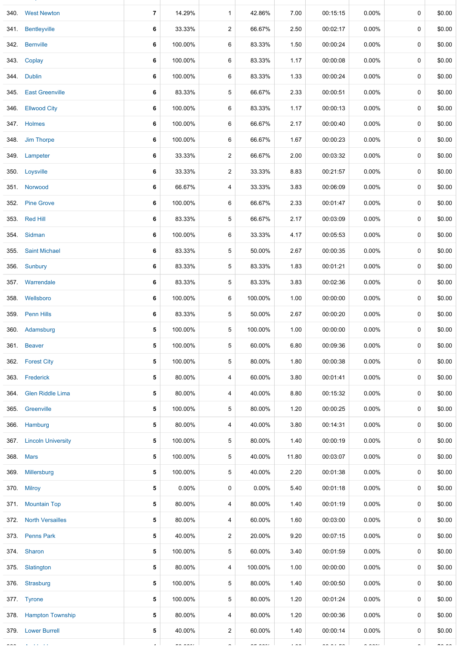|      | 340. West Newton        | 7 | 14.29%          | $\mathbf 1$    | 42.86%        | 7.00                 | 00:15:15 | 0.00%       | 0 | \$0.00 |
|------|-------------------------|---|-----------------|----------------|---------------|----------------------|----------|-------------|---|--------|
|      | 341. Bentleyville       | 6 | 33.33%          | $\overline{c}$ | 66.67%        | 2.50                 | 00:02:17 | 0.00%       | 0 | \$0.00 |
|      | 342. Bernville          | 6 | 100.00%         | 6              | 83.33%        | 1.50                 | 00:00:24 | 0.00%       | 0 | \$0.00 |
|      | 343. Coplay             | 6 | 100.00%         | 6              | 83.33%        | 1.17                 | 00:00:08 | 0.00%       | 0 | \$0.00 |
|      | 344. Dublin             | 6 | 100.00%         | 6              | 83.33%        | 1.33                 | 00:00:24 | $0.00\%$    | 0 | \$0.00 |
| 345. | <b>East Greenville</b>  | 6 | 83.33%          | 5              | 66.67%        | 2.33                 | 00:00:51 | 0.00%       | 0 | \$0.00 |
|      | 346. Ellwood City       | 6 | 100.00%         | 6              | 83.33%        | 1.17                 | 00:00:13 | 0.00%       | 0 | \$0.00 |
|      | 347. Holmes             | 6 | 100.00%         | 6              | 66.67%        | 2.17                 | 00:00:40 | 0.00%       | 0 | \$0.00 |
|      | 348. Jim Thorpe         | 6 | 100.00%         | 6              | 66.67%        | 1.67                 | 00:00:23 | $0.00\%$    | 0 | \$0.00 |
|      | 349. Lampeter           | 6 | 33.33%          | $\overline{c}$ | 66.67%        | 2.00                 | 00:03:32 | 0.00%       | 0 | \$0.00 |
|      | 350. Loysville          | 6 | 33.33%          | 2              | 33.33%        | 8.83                 | 00:21:57 | 0.00%       | 0 | \$0.00 |
|      | 351. Norwood            | 6 | 66.67%          | 4              | 33.33%        | 3.83                 | 00:06:09 | 0.00%       | 0 | \$0.00 |
|      | 352. Pine Grove         | 6 | 100.00%         | 6              | 66.67%        | 2.33                 | 00:01:47 | 0.00%       | 0 | \$0.00 |
|      | 353. Red Hill           | 6 | 83.33%          | 5              | 66.67%        | 2.17                 | 00:03:09 | $0.00\%$    | 0 | \$0.00 |
|      | 354 Sidman              | 6 | 100.00%         | 6              | 33.33%        | 4.17                 | 00:05:53 | 0.00%       | 0 | \$0.00 |
|      | 355. Saint Michael      | 6 | 83.33%          | 5              | 50.00%        | 2.67                 | 00:00:35 | 0.00%       | 0 | \$0.00 |
| 356. | <b>Sunbury</b>          | 6 | 83.33%          | 5              | 83.33%        | 1.83                 | 00:01:21 | 0.00%       | 0 | \$0.00 |
|      | 357. Warrendale         | 6 | 83.33%          | 5              | 83.33%        | 3.83                 | 00:02:36 | 0.00%       | 0 | \$0.00 |
|      | 358. Wellsboro          | 6 | 100.00%         | 6              | 100.00%       | 1.00                 | 00:00:00 | 0.00%       | 0 | \$0.00 |
|      | 359. Penn Hills         | 6 | 83.33%          | 5              | 50.00%        | 2.67                 | 00:00:20 | 0.00%       | 0 | \$0.00 |
|      | 360. Adamsburg          | 5 | 100.00%         | 5              | 100.00%       | 1.00                 | 00:00:00 | $0.00\%$    | 0 | \$0.00 |
|      | 361. Beaver             | 5 | 100.00%         | 5              | 60.00%        | 6.80                 | 00:09:36 | 0.00%       | 0 | \$0.00 |
|      | 362. Forest City        | 5 | 100.00%         | 5              | 80.00%        | 1.80                 | 00:00:38 | 0.00%       | 0 | \$0.00 |
|      | 363. Frederick          | 5 | 80.00%          | 4              | 60.00%        | 3.80                 | 00:01:41 | $0.00\%$    | 0 | \$0.00 |
| 364. | <b>Glen Riddle Lima</b> | 5 | 80.00%          | 4              | 40.00%        | 8.80                 | 00:15:32 | $0.00\%$    | 0 | \$0.00 |
| 365. | Greenville              | 5 | 100.00%         | 5              | 80.00%        | 1.20                 | 00:00:25 | 0.00%       | 0 | \$0.00 |
|      | 366. Hamburg            | 5 | 80.00%          | 4              | 40.00%        | 3.80                 | 00:14:31 | 0.00%       | 0 | \$0.00 |
|      | 367. Lincoln University | 5 | 100.00%         | 5              | 80.00%        | 1.40                 | 00:00:19 | 0.00%       | 0 | \$0.00 |
|      | 368. Mars               | 5 | 100.00%         | 5              | 40.00%        | 11.80                | 00:03:07 | 0.00%       | 0 | \$0.00 |
|      | 369. Millersburg        | 5 | 100.00%         | 5              | 40.00%        | 2.20                 | 00:01:38 | 0.00%       | 0 | \$0.00 |
|      | 370. Milroy             | 5 | $0.00\%$        | 0              | 0.00%         | 5.40                 | 00:01:18 | 0.00%       | 0 | \$0.00 |
|      | 371. Mountain Top       | 5 | 80.00%          | 4              | 80.00%        | 1.40                 | 00:01:19 | $0.00\%$    | 0 | \$0.00 |
| 372. | <b>North Versailles</b> | 5 | 80.00%          | 4              | 60.00%        | 1.60                 | 00:03:00 | $0.00\%$    | 0 | \$0.00 |
|      | 373. Penns Park         | 5 | 40.00%          | $\overline{2}$ | 20.00%        | 9.20                 | 00:07:15 | 0.00%       | 0 | \$0.00 |
|      | 374. Sharon             | 5 | 100.00%         | 5              | 60.00%        | 3.40                 | 00:01:59 | 0.00%       | 0 | \$0.00 |
|      | 375. Slatington         | 5 | 80.00%          | 4              | 100.00%       | 1.00                 | 00:00:00 | 0.00%       | 0 | \$0.00 |
|      | 376. Strasburg          | 5 | 100.00%         | 5              | 80.00%        | 1.40                 | 00:00:50 | 0.00%       | 0 | \$0.00 |
|      | 377. Tyrone             | 5 | 100.00%         | 5              | 80.00%        | 1.20                 | 00:01:24 | 0.00%       | 0 | \$0.00 |
|      | 378. Hampton Township   | 5 | 80.00%          | 4              | 80.00%        | 1.20                 | 00:00:36 | 0.00%       | 0 | \$0.00 |
|      | 379. Lower Burrell      | 5 | 40.00%          | $\overline{2}$ | 60.00%        | 1.40                 | 00:00:14 | $0.00\%$    | 0 | \$0.00 |
|      |                         |   | -- --- <i>-</i> |                | $- - - - - -$ | $\sim$ $\sim$ $\sim$ | 22 27 22 | $- - - - -$ |   |        |

339. Tobyhanna **7** 85.71% 6 85.71% 1.43 00:00:42 0.00% 0 \$0.00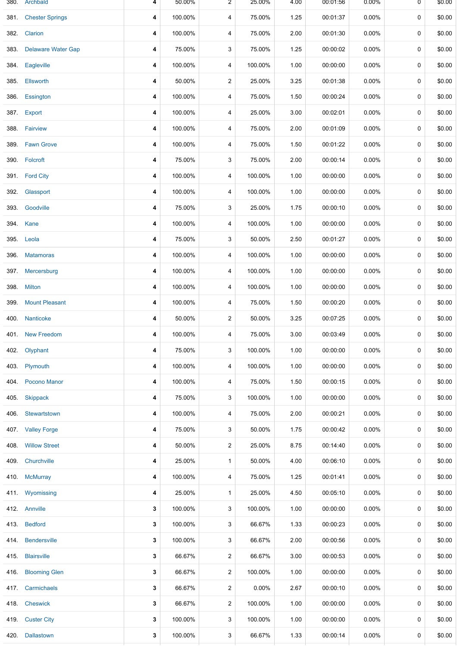|      | 380. Archbald             | 4 | 50.00%  | 2              | 25.00%   | 4.00 | 00:01:56 | $0.00\%$ | 0         | \$0.00 |
|------|---------------------------|---|---------|----------------|----------|------|----------|----------|-----------|--------|
| 381. | <b>Chester Springs</b>    | 4 | 100.00% | 4              | 75.00%   | 1.25 | 00:01:37 | 0.00%    | 0         | \$0.00 |
|      | 382. Clarion              | 4 | 100.00% | 4              | 75.00%   | 2.00 | 00:01:30 | $0.00\%$ | 0         | \$0.00 |
| 383. | <b>Delaware Water Gap</b> | 4 | 75.00%  | 3              | 75.00%   | 1.25 | 00:00:02 | 0.00%    | 0         | \$0.00 |
|      | 384. Eagleville           | 4 | 100.00% | 4              | 100.00%  | 1.00 | 00:00:00 | 0.00%    | 0         | \$0.00 |
| 385. | Ellsworth                 | 4 | 50.00%  | 2              | 25.00%   | 3.25 | 00:01:38 | 0.00%    | $\pmb{0}$ | \$0.00 |
| 386. | Essington                 | 4 | 100.00% | 4              | 75.00%   | 1.50 | 00:00:24 | 0.00%    | 0         | \$0.00 |
|      | 387. Export               | 4 | 100.00% | 4              | 25.00%   | 3.00 | 00:02:01 | 0.00%    | 0         | \$0.00 |
|      | 388. Fairview             | 4 | 100.00% | 4              | 75.00%   | 2.00 | 00:01:09 | 0.00%    | 0         | \$0.00 |
|      | 389. Fawn Grove           | 4 | 100.00% | 4              | 75.00%   | 1.50 | 00:01:22 | $0.00\%$ | 0         | \$0.00 |
| 390. | Folcroft                  | 4 | 75.00%  | 3              | 75.00%   | 2.00 | 00:00:14 | 0.00%    | 0         | \$0.00 |
|      | 391. Ford City            | 4 | 100.00% | 4              | 100.00%  | 1.00 | 00:00:00 | 0.00%    | 0         | \$0.00 |
| 392. | Glassport                 | 4 | 100.00% | 4              | 100.00%  | 1.00 | 00:00:00 | 0.00%    | 0         | \$0.00 |
|      | 393. Goodville            | 4 | 75.00%  | 3              | 25.00%   | 1.75 | 00:00:10 | 0.00%    | 0         | \$0.00 |
|      | 394. Kane                 | 4 | 100.00% | 4              | 100.00%  | 1.00 | 00:00:00 | 0.00%    | $\pmb{0}$ | \$0.00 |
|      | 395. Leola                | 4 | 75.00%  | 3              | 50.00%   | 2.50 | 00:01:27 | 0.00%    | 0         | \$0.00 |
| 396. | <b>Matamoras</b>          | 4 | 100.00% | 4              | 100.00%  | 1.00 | 00:00:00 | 0.00%    | 0         | \$0.00 |
| 397. | Mercersburg               | 4 | 100.00% | 4              | 100.00%  | 1.00 | 00:00:00 | 0.00%    | 0         | \$0.00 |
| 398. | <b>Milton</b>             | 4 | 100.00% | 4              | 100.00%  | 1.00 | 00:00:00 | $0.00\%$ | 0         | \$0.00 |
| 399. | <b>Mount Pleasant</b>     | 4 | 100.00% | 4              | 75.00%   | 1.50 | 00:00:20 | 0.00%    | 0         | \$0.00 |
| 400. | Nanticoke                 | 4 | 50.00%  | 2              | 50.00%   | 3.25 | 00:07:25 | $0.00\%$ | 0         | \$0.00 |
| 401. | <b>New Freedom</b>        | 4 | 100.00% | 4              | 75.00%   | 3.00 | 00:03:49 | 0.00%    | 0         | \$0.00 |
|      | 402. Olyphant             | 4 | 75.00%  | 3              | 100.00%  | 1.00 | 00:00:00 | 0.00%    | 0         | \$0.00 |
| 403. | Plymouth                  | 4 | 100.00% | 4              | 100.00%  | 1.00 | 00:00:00 | 0.00%    | $\pmb{0}$ | \$0.00 |
| 404. | <b>Pocono Manor</b>       | 4 | 100.00% | 4              | 75.00%   | 1.50 | 00:00:15 | $0.00\%$ | 0         | \$0.00 |
| 405. | <b>Skippack</b>           | 4 | 75.00%  | 3              | 100.00%  | 1.00 | 00:00:00 | 0.00%    | 0         | \$0.00 |
| 406. | Stewartstown              | 4 | 100.00% | 4              | 75.00%   | 2.00 | 00:00:21 | $0.00\%$ | 0         | \$0.00 |
|      | 407. Valley Forge         | 4 | 75.00%  | 3              | 50.00%   | 1.75 | 00:00:42 | $0.00\%$ | 0         | \$0.00 |
| 408. | <b>Willow Street</b>      | 4 | 50.00%  | $\overline{c}$ | 25.00%   | 8.75 | 00:14:40 | $0.00\%$ | $\pmb{0}$ | \$0.00 |
| 409. | Churchville               | 4 | 25.00%  | $\mathbf{1}$   | 50.00%   | 4.00 | 00:06:10 | $0.00\%$ | 0         | \$0.00 |
| 410. | <b>McMurray</b>           | 4 | 100.00% | 4              | 75.00%   | 1.25 | 00:01:41 | 0.00%    | 0         | \$0.00 |
|      | 411. Wyomissing           | 4 | 25.00%  | $\mathbf{1}$   | 25.00%   | 4.50 | 00:05:10 | $0.00\%$ | 0         | \$0.00 |
|      | 412. Annville             | 3 | 100.00% | 3              | 100.00%  | 1.00 | 00:00:00 | 0.00%    | $\pmb{0}$ | \$0.00 |
|      | 413. Bedford              | 3 | 100.00% | 3              | 66.67%   | 1.33 | 00:00:23 | $0.00\%$ | 0         | \$0.00 |
|      | 414 Bendersville          | 3 | 100.00% | 3              | 66.67%   | 2.00 | 00:00:56 | $0.00\%$ | 0         | \$0.00 |
| 415. | <b>Blairsville</b>        | 3 | 66.67%  | 2              | 66.67%   | 3.00 | 00:00:53 | $0.00\%$ | 0         | \$0.00 |
| 416. | <b>Blooming Glen</b>      | 3 | 66.67%  | 2              | 100.00%  | 1.00 | 00:00:00 | $0.00\%$ | 0         | \$0.00 |
| 417. | Carmichaels               | 3 | 66.67%  | $\overline{a}$ | $0.00\%$ | 2.67 | 00:00:10 | $0.00\%$ | 0         | \$0.00 |
|      | 418. Cheswick             | 3 | 66.67%  | 2              | 100.00%  | 1.00 | 00:00:00 | $0.00\%$ | 0         | \$0.00 |
|      | 419. Custer City          | 3 | 100.00% | 3              | 100.00%  | 1.00 | 00:00:00 | $0.00\%$ | 0         | \$0.00 |
|      | 420. Dallastown           | 3 | 100.00% | 3              | 66.67%   | 1.33 | 00:00:14 | 0.00%    | 0         | \$0.00 |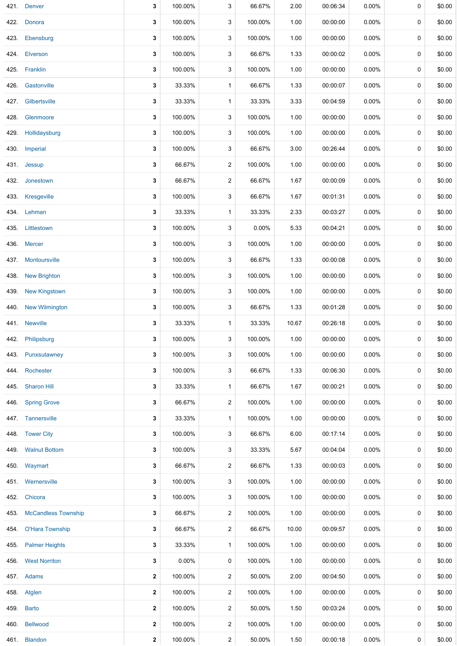| 421. | <b>Denver</b>              | 3 | 100.00% | 3 | 66.67%  | 2.00  | 00:06:34 | 0.00%    | 0           | \$0.00 |
|------|----------------------------|---|---------|---|---------|-------|----------|----------|-------------|--------|
| 422. | Donora                     | 3 | 100.00% | 3 | 100.00% | 1.00  | 00:00:00 | $0.00\%$ | 0           | \$0.00 |
| 423. | Ebensburg                  | 3 | 100.00% | 3 | 100.00% | 1.00  | 00:00:00 | $0.00\%$ | $\mathbf 0$ | \$0.00 |
| 424. | Elverson                   | 3 | 100.00% | 3 | 66.67%  | 1.33  | 00:00:02 | $0.00\%$ | $\pmb{0}$   | \$0.00 |
| 425. | Franklin                   | 3 | 100.00% | 3 | 100.00% | 1.00  | 00:00:00 | $0.00\%$ | 0           | \$0.00 |
| 426. | Gastonville                | 3 | 33.33%  | 1 | 66.67%  | 1.33  | 00:00:07 | $0.00\%$ | 0           | \$0.00 |
| 427. | Gilbertsville              | 3 | 33.33%  | 1 | 33.33%  | 3.33  | 00:04:59 | $0.00\%$ | 0           | \$0.00 |
| 428. | Glenmoore                  | 3 | 100.00% | 3 | 100.00% | 1.00  | 00:00:00 | 0.00%    | $\pmb{0}$   | \$0.00 |
| 429. | Hollidaysburg              | 3 | 100.00% | 3 | 100.00% | 1.00  | 00:00:00 | $0.00\%$ | 0           | \$0.00 |
| 430. | Imperial                   | 3 | 100.00% | 3 | 66.67%  | 3.00  | 00:26:44 | $0.00\%$ | $\mathbf 0$ | \$0.00 |
| 431. | Jessup                     | 3 | 66.67%  | 2 | 100.00% | 1.00  | 00:00:00 | $0.00\%$ | 0           | \$0.00 |
| 432. | Jonestown                  | 3 | 66.67%  | 2 | 66.67%  | 1.67  | 00:00:09 | $0.00\%$ | 0           | \$0.00 |
| 433. | Kresgeville                | 3 | 100.00% | 3 | 66.67%  | 1.67  | 00:01:31 | $0.00\%$ | 0           | \$0.00 |
|      | 434. Lehman                | 3 | 33.33%  | 1 | 33.33%  | 2.33  | 00:03:27 | $0.00\%$ | $\mathbf 0$ | \$0.00 |
| 435. | Littlestown                | 3 | 100.00% | 3 | 0.00%   | 5.33  | 00:04:21 | $0.00\%$ | $\pmb{0}$   | \$0.00 |
| 436. | <b>Mercer</b>              | 3 | 100.00% | 3 | 100.00% | 1.00  | 00:00:00 | $0.00\%$ | 0           | \$0.00 |
| 437. | Montoursville              | 3 | 100.00% | 3 | 66.67%  | 1.33  | 00:00:08 | $0.00\%$ | $\pmb{0}$   | \$0.00 |
| 438. | <b>New Brighton</b>        | 3 | 100.00% | 3 | 100.00% | 1.00  | 00:00:00 | $0.00\%$ | 0           | \$0.00 |
| 439. | <b>New Kingstown</b>       | 3 | 100.00% | 3 | 100.00% | 1.00  | 00:00:00 | 0.00%    | $\pmb{0}$   | \$0.00 |
| 440. | <b>New Wilmington</b>      | 3 | 100.00% | 3 | 66.67%  | 1.33  | 00:01:28 | $0.00\%$ | 0           | \$0.00 |
| 441. | <b>Newville</b>            | 3 | 33.33%  | 1 | 33.33%  | 10.67 | 00:26:18 | $0.00\%$ | 0           | \$0.00 |
| 442. | Philipsburg                | 3 | 100.00% | 3 | 100.00% | 1.00  | 00:00:00 | $0.00\%$ | 0           | \$0.00 |
| 443. | Punxsutawney               | 3 | 100.00% | 3 | 100.00% | 1.00  | 00:00:00 | $0.00\%$ | 0           | \$0.00 |
| 444. | Rochester                  | 3 | 100.00% | 3 | 66.67%  | 1.33  | 00:06:30 | $0.00\%$ | $\pmb{0}$   | \$0.00 |
| 445. | <b>Sharon Hill</b>         | 3 | 33.33%  | 1 | 66.67%  | 1.67  | 00:00:21 | $0.00\%$ | 0           | \$0.00 |
| 446. | <b>Spring Grove</b>        | 3 | 66.67%  | 2 | 100.00% | 1.00  | 00:00:00 | 0.00%    | $\pmb{0}$   | \$0.00 |
| 447. | Tannersville               | 3 | 33.33%  | 1 | 100.00% | 1.00  | 00:00:00 | $0.00\%$ | $\pmb{0}$   | \$0.00 |
| 448. | <b>Tower City</b>          | 3 | 100.00% | 3 | 66.67%  | 6.00  | 00:17:14 | $0.00\%$ | 0           | \$0.00 |
| 449. | <b>Walnut Bottom</b>       | 3 | 100.00% | 3 | 33.33%  | 5.67  | 00:04:04 | $0.00\%$ | 0           | \$0.00 |
| 450. | Waymart                    | 3 | 66.67%  | 2 | 66.67%  | 1.33  | 00:00:03 | $0.00\%$ | 0           | \$0.00 |
| 451. | Wernersville               | 3 | 100.00% | 3 | 100.00% | 1.00  | 00:00:00 | $0.00\%$ | 0           | \$0.00 |
| 452. | Chicora                    | 3 | 100.00% | 3 | 100.00% | 1.00  | 00:00:00 | $0.00\%$ | 0           | \$0.00 |
| 453. | <b>McCandless Township</b> | 3 | 66.67%  | 2 | 100.00% | 1.00  | 00:00:00 | $0.00\%$ | 0           | \$0.00 |
| 454. | O'Hara Township            | 3 | 66.67%  | 2 | 66.67%  | 10.00 | 00:09:57 | $0.00\%$ | 0           | \$0.00 |
| 455. | <b>Palmer Heights</b>      | 3 | 33.33%  | 1 | 100.00% | 1.00  | 00:00:00 | $0.00\%$ | $\pmb{0}$   | \$0.00 |
| 456. | <b>West Norriton</b>       | 3 | 0.00%   | 0 | 100.00% | 1.00  | 00:00:00 | $0.00\%$ | 0           | \$0.00 |
|      | 457. Adams                 | 2 | 100.00% | 2 | 50.00%  | 2.00  | 00:04:50 | $0.00\%$ | 0           | \$0.00 |
|      | 458. Atglen                | 2 | 100.00% | 2 | 100.00% | 1.00  | 00:00:00 | $0.00\%$ | 0           | \$0.00 |
| 459. | <b>Barto</b>               | 2 | 100.00% | 2 | 50.00%  | 1.50  | 00:03:24 | $0.00\%$ | 0           | \$0.00 |
| 460. | <b>Bellwood</b>            | 2 | 100.00% | 2 | 100.00% | 1.00  | 00:00:00 | $0.00\%$ | 0           | \$0.00 |
|      | 461. Blandon               | 2 | 100.00% | 2 | 50.00%  | 1.50  | 00:00:18 | $0.00\%$ | 0           | \$0.00 |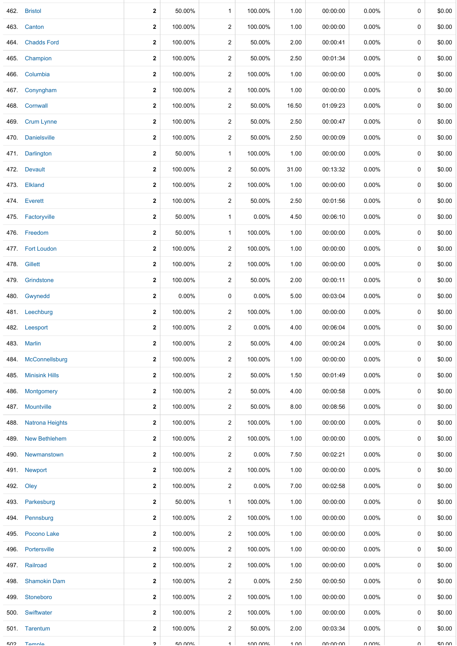|      | 462. Bristol          | 2            | 50.00%  | 1              | 100.00%  | 1.00  | 00:00:00 | 0.00%    | 0           | \$0.00     |
|------|-----------------------|--------------|---------|----------------|----------|-------|----------|----------|-------------|------------|
| 463. | Canton                | 2            | 100.00% | $\overline{a}$ | 100.00%  | 1.00  | 00:00:00 | $0.00\%$ | $\pmb{0}$   | \$0.00     |
| 464. | <b>Chadds Ford</b>    | 2            | 100.00% | $\overline{c}$ | 50.00%   | 2.00  | 00:00:41 | 0.00%    | 0           | \$0.00     |
| 465. | Champion              | 2            | 100.00% | $\overline{a}$ | 50.00%   | 2.50  | 00:01:34 | 0.00%    | $\pmb{0}$   | \$0.00     |
| 466. | Columbia              | 2            | 100.00% | 2              | 100.00%  | 1.00  | 00:00:00 | 0.00%    | 0           | \$0.00     |
| 467. | Conyngham             | $\mathbf{2}$ | 100.00% | $\overline{a}$ | 100.00%  | 1.00  | 00:00:00 | 0.00%    | 0           | \$0.00     |
| 468. | Cornwall              | $\mathbf{2}$ | 100.00% | $\overline{a}$ | 50.00%   | 16.50 | 01:09:23 | 0.00%    | $\pmb{0}$   | \$0.00     |
| 469. | <b>Crum Lynne</b>     | $\mathbf{2}$ | 100.00% | $\overline{c}$ | 50.00%   | 2.50  | 00:00:47 | 0.00%    | 0           | \$0.00     |
|      | 470. Danielsville     | 2            | 100.00% | $\overline{c}$ | 50.00%   | 2.50  | 00:00:09 | 0.00%    | 0           | \$0.00     |
|      | 471. Darlington       | $\mathbf{2}$ | 50.00%  | 1              | 100.00%  | 1.00  | 00:00:00 | 0.00%    | 0           | \$0.00     |
| 472. | Devault               | 2            | 100.00% | $\overline{a}$ | 50.00%   | 31.00 | 00:13:32 | $0.00\%$ | $\pmb{0}$   | \$0.00     |
| 473. | Elkland               | 2            | 100.00% | $\overline{c}$ | 100.00%  | 1.00  | 00:00:00 | 0.00%    | 0           | \$0.00     |
|      | 474. Everett          | 2            | 100.00% | 2              | 50.00%   | 2.50  | 00:01:56 | $0.00\%$ | 0           | \$0.00     |
|      | 475. Factoryville     | $\mathbf{2}$ | 50.00%  | 1              | 0.00%    | 4.50  | 00:06:10 | $0.00\%$ | 0           | \$0.00     |
|      | 476. Freedom          | $\mathbf{2}$ | 50.00%  | $\mathbf{1}$   | 100.00%  | 1.00  | 00:00:00 | $0.00\%$ | 0           | \$0.00     |
|      | 477. Fort Loudon      | $\mathbf{2}$ | 100.00% | $\overline{2}$ | 100.00%  | 1.00  | 00:00:00 | $0.00\%$ | 0           | \$0.00     |
|      | 478. Gillett          | $\mathbf{2}$ | 100.00% | $\overline{2}$ | 100.00%  | 1.00  | 00:00:00 | $0.00\%$ | $\mathbf 0$ | \$0.00     |
| 479. | Grindstone            | $\mathbf{2}$ | 100.00% | $\overline{2}$ | 50.00%   | 2.00  | 00:00:11 | $0.00\%$ | 0           | \$0.00     |
|      | 480. Gwynedd          | $\mathbf{2}$ | 0.00%   | 0              | $0.00\%$ | 5.00  | 00:03:04 | $0.00\%$ | 0           | \$0.00     |
|      | 481. Leechburg        | 2            | 100.00% | $\overline{a}$ | 100.00%  | 1.00  | 00:00:00 | $0.00\%$ | 0           | \$0.00     |
|      | 482. Leesport         | $\mathbf{2}$ | 100.00% | $\overline{2}$ | 0.00%    | 4.00  | 00:06:04 | 0.00%    | 0           | \$0.00     |
|      | 483. Marlin           | $\mathbf{2}$ | 100.00% | 2              | 50.00%   | 4.00  | 00:00:24 | $0.00\%$ | 0           | \$0.00     |
|      | 484. McConnellsburg   | $\mathbf{2}$ | 100.00% | $\overline{2}$ | 100.00%  | 1.00  | 00:00:00 | $0.00\%$ | 0           | \$0.00     |
| 485. | <b>Minisink Hills</b> | 2            | 100.00% | $\overline{a}$ | 50.00%   | 1.50  | 00:01:49 | $0.00\%$ | 0           | \$0.00     |
|      | 486. Montgomery       | $\mathbf{2}$ | 100.00% | $\overline{2}$ | 50.00%   | 4.00  | 00:00:58 | $0.00\%$ | 0           | \$0.00     |
|      | 487. Mountville       | $\mathbf{2}$ | 100.00% | $\overline{2}$ | 50.00%   | 8.00  | 00:08:56 | $0.00\%$ | $\mathbf 0$ | \$0.00     |
|      | 488. Natrona Heights  | $\mathbf{2}$ | 100.00% | $\overline{2}$ | 100.00%  | 1.00  | 00:00:00 | $0.00\%$ | 0           | \$0.00     |
|      | 489. New Bethlehem    | $\mathbf{2}$ | 100.00% | 2              | 100.00%  | 1.00  | 00:00:00 | $0.00\%$ | 0           | \$0.00     |
|      | 490. Newmanstown      | $\mathbf{2}$ | 100.00% | $\overline{2}$ | 0.00%    | 7.50  | 00:02:21 | $0.00\%$ | 0           | \$0.00     |
|      | 491. Newport          | $\mathbf{2}$ | 100.00% | $\overline{2}$ | 100.00%  | 1.00  | 00:00:00 | $0.00\%$ | 0           | \$0.00     |
|      | 492. Oley             | $\mathbf{2}$ | 100.00% | $\overline{2}$ | 0.00%    | 7.00  | 00:02:58 | $0.00\%$ | 0           | \$0.00     |
|      | 493. Parkesburg       | 2            | 50.00%  | 1              | 100.00%  | 1.00  | 00:00:00 | $0.00\%$ | 0           | \$0.00     |
|      | 494. Pennsburg        | 2            | 100.00% | 2              | 100.00%  | 1.00  | 00:00:00 | $0.00\%$ | $\mathbf 0$ | \$0.00     |
|      | 495 Pocono Lake       | $\mathbf{2}$ | 100.00% | $\overline{2}$ | 100.00%  | 1.00  | 00:00:00 | $0.00\%$ | 0           | \$0.00     |
|      | 496. Portersville     | $\mathbf{2}$ | 100.00% | $\overline{2}$ | 100.00%  | 1.00  | 00:00:00 | $0.00\%$ | $\mathbf 0$ | \$0.00     |
|      | 497. Railroad         | $\mathbf{2}$ | 100.00% | $\overline{2}$ | 100.00%  | 1.00  | 00:00:00 | $0.00\%$ | 0           | \$0.00     |
|      | 498. Shamokin Dam     | $\mathbf{2}$ | 100.00% | 2              | 0.00%    | 2.50  | 00:00:50 | $0.00\%$ | 0           | \$0.00     |
| 499. | Stoneboro             | $\mathbf{2}$ | 100.00% | $\overline{2}$ | 100.00%  | 1.00  | 00:00:00 | $0.00\%$ | 0           | \$0.00     |
| 500. | Swiftwater            | $\mathbf{2}$ | 100.00% | 2              | 100.00%  | 1.00  | 00:00:00 | $0.00\%$ | 0           | \$0.00     |
|      | 501. Tarentum         | $\mathbf{2}$ | 100.00% | $\overline{2}$ | 50.00%   | 2.00  | 00:03:34 | $0.00\%$ | 0           | \$0.00     |
| らいつ  | Tamnla                | $\mathbf{r}$ | ደሀ ሀሀል  | $\mathbf 1$    | 100 00%  | 1 በበ  | uu uu uu | U UUN    | $\cap$      | $n \cap n$ |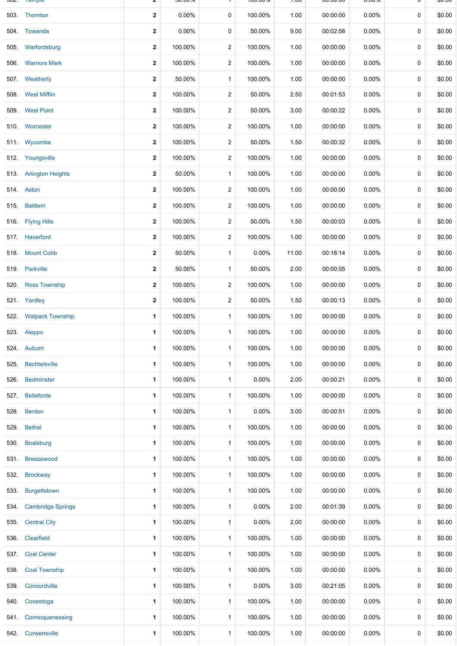|      | <b>I</b> eilipie         |              | <b>JU.UU</b> /0 |                         | 100.0070 | 1.VV  | <b>DO DO DO</b> | <b>0.</b> 0070 |   | ψυ.υυ  |
|------|--------------------------|--------------|-----------------|-------------------------|----------|-------|-----------------|----------------|---|--------|
|      | 503. Thornton            | $\mathbf{2}$ | 0.00%           | 0                       | 100.00%  | 1.00  | 00:00:00        | 0.00%          | 0 | \$0.00 |
| 504. | Towanda                  | $\mathbf{2}$ | $0.00\%$        | 0                       | 50.00%   | 9.00  | 00:02:58        | 0.00%          | 0 | \$0.00 |
|      | 505. Warfordsburg        | 2            | 100.00%         | $\overline{2}$          | 100.00%  | 1.00  | 00:00:00        | 0.00%          | 0 | \$0.00 |
| 506. | <b>Warriors Mark</b>     | $\mathbf{2}$ | 100.00%         | $\overline{\mathbf{c}}$ | 100.00%  | 1.00  | 00:00:00        | 0.00%          | 0 | \$0.00 |
|      | 507. Weatherly           | $\mathbf{2}$ | 50.00%          | 1                       | 100.00%  | 1.00  | 00:00:00        | 0.00%          | 0 | \$0.00 |
| 508. | <b>West Mifflin</b>      | 2            | 100.00%         | $\overline{c}$          | 50.00%   | 2.50  | 00:01:53        | $0.00\%$       | 0 | \$0.00 |
|      | 509. West Point          | 2            | 100.00%         | $\overline{c}$          | 50.00%   | 3.00  | 00:00:22        | 0.00%          | 0 | \$0.00 |
|      | 510. Worcester           | 2            | 100.00%         | $\overline{\mathbf{c}}$ | 100.00%  | 1.00  | 00:00:00        | 0.00%          | 0 | \$0.00 |
|      | 511. Wycombe             | $\mathbf{2}$ | 100.00%         | $\overline{2}$          | 50.00%   | 1.50  | 00:00:32        | 0.00%          | 0 | \$0.00 |
|      | 512. Youngsville         | 2            | 100.00%         | 2                       | 100.00%  | 1.00  | 00:00:00        | 0.00%          | 0 | \$0.00 |
|      | 513. Arlington Heights   | $\mathbf{2}$ | 50.00%          | $\mathbf{1}$            | 100.00%  | 1.00  | 00:00:00        | 0.00%          | 0 | \$0.00 |
|      | 514. Aston               | $\mathbf{2}$ | 100.00%         | $\overline{2}$          | 100.00%  | 1.00  | 00:00:00        | $0.00\%$       | 0 | \$0.00 |
| 515. | <b>Baldwin</b>           | $\mathbf{2}$ | 100.00%         | $\overline{c}$          | 100.00%  | 1.00  | 00:00:00        | $0.00\%$       | 0 | \$0.00 |
| 516. | <b>Flying Hills</b>      | 2            | 100.00%         | 2                       | 50.00%   | 1.50  | 00:00:03        | $0.00\%$       | 0 | \$0.00 |
|      | 517. Haverford           | 2            | 100.00%         | $\overline{c}$          | 100.00%  | 1.00  | 00:00:00        | 0.00%          | 0 | \$0.00 |
|      | 518 Mount Cobb           | $\mathbf{2}$ | 50.00%          | 1                       | 0.00%    | 11.00 | 00:18:14        | 0.00%          | 0 | \$0.00 |
|      | 519. Parkville           | 2            | 50.00%          | 1                       | 50.00%   | 2.00  | 00:00:05        | $0.00\%$       | 0 | \$0.00 |
|      | 520. Ross Township       | 2            | 100.00%         | $\overline{2}$          | 100.00%  | 1.00  | 00:00:00        | $0.00\%$       | 0 | \$0.00 |
|      | 521. Yardley             | 2            | 100.00%         | 2                       | 50.00%   | 1.50  | 00:00:13        | $0.00\%$       | 0 | \$0.00 |
|      | 522. Walpack Township    | 1            | 100.00%         | $\mathbf{1}$            | 100.00%  | 1.00  | 00:00:00        | 0.00%          | 0 | \$0.00 |
|      | 523. Aleppo              | 1            | 100.00%         | 1                       | 100.00%  | 1.00  | 00:00:00        | 0.00%          | 0 | \$0.00 |
|      | 524. Auburn              | 1            | 100.00%         | $\mathbf{1}$            | 100.00%  | 1.00  | 00:00:00        | $0.00\%$       | 0 | \$0.00 |
| 525. | <b>Bechtelsville</b>     | 1            | 100.00%         | 1                       | 100.00%  | 1.00  | 00:00:00        | $0.00\%$       | 0 | \$0.00 |
| 526. | <b>Bedminster</b>        | 1            | 100.00%         | 1                       | 0.00%    | 2.00  | 00:00:21        | 0.00%          | 0 | \$0.00 |
| 527. | <b>Bellefonte</b>        | 1            | 100.00%         | 1                       | 100.00%  | 1.00  | 00:00:00        | $0.00\%$       | 0 | \$0.00 |
| 528. | <b>Benton</b>            | 1            | 100.00%         | 1                       | 0.00%    | 3.00  | 00:00:51        | $0.00\%$       | 0 | \$0.00 |
| 529. | <b>Bethel</b>            | 1            | 100.00%         | 1                       | 100.00%  | 1.00  | 00:00:00        | $0.00\%$       | 0 | \$0.00 |
| 530. | <b>Boalsburg</b>         | 1            | 100.00%         | 1                       | 100.00%  | 1.00  | 00:00:00        | $0.00\%$       | 0 | \$0.00 |
| 531. | <b>Breezewood</b>        | 1            | 100.00%         | $\mathbf{1}$            | 100.00%  | 1.00  | 00:00:00        | $0.00\%$       | 0 | \$0.00 |
| 532. | <b>Brockway</b>          | 1            | 100.00%         | 1                       | 100.00%  | 1.00  | 00:00:00        | $0.00\%$       | 0 | \$0.00 |
| 533. | <b>Burgettstown</b>      | 1            | 100.00%         | 1                       | 100.00%  | 1.00  | 00:00:00        | $0.00\%$       | 0 | \$0.00 |
| 534. | <b>Cambridge Springs</b> | 1            | 100.00%         | 1                       | $0.00\%$ | 2.00  | 00:01:39        | $0.00\%$       | 0 | \$0.00 |
| 535. | <b>Central City</b>      | 1            | 100.00%         | 1                       | 0.00%    | 2.00  | 00:00:00        | $0.00\%$       | 0 | \$0.00 |
| 536. | Clearfield               | 1            | 100.00%         | 1                       | 100.00%  | 1.00  | 00:00:00        | $0.00\%$       | 0 | \$0.00 |
|      | 537 Coal Center          | 1            | 100.00%         | 1                       | 100.00%  | 1.00  | 00:00:00        | $0.00\%$       | 0 | \$0.00 |
| 538. | <b>Coal Township</b>     | 1            | 100.00%         | 1                       | 100.00%  | 1.00  | 00:00:00        | $0.00\%$       | 0 | \$0.00 |
| 539. | Concordville             | 1            | 100.00%         | 1                       | $0.00\%$ | 3.00  | 00:21:05        | $0.00\%$       | 0 | \$0.00 |
| 540. | Conestoga                | 1            | 100.00%         | 1                       | 100.00%  | 1.00  | 00:00:00        | $0.00\%$       | 0 | \$0.00 |
|      | 541. Connoquenessing     | 1            | 100.00%         | 1                       | 100.00%  | 1.00  | 00:00:00        | $0.00\%$       | 0 | \$0.00 |
|      | 542. Curwensville        | 1            | 100.00%         | 1                       | 100.00%  | 1.00  | 00:00:00        | $0.00\%$       | 0 | \$0.00 |
|      |                          |              |                 |                         |          |       |                 |                |   |        |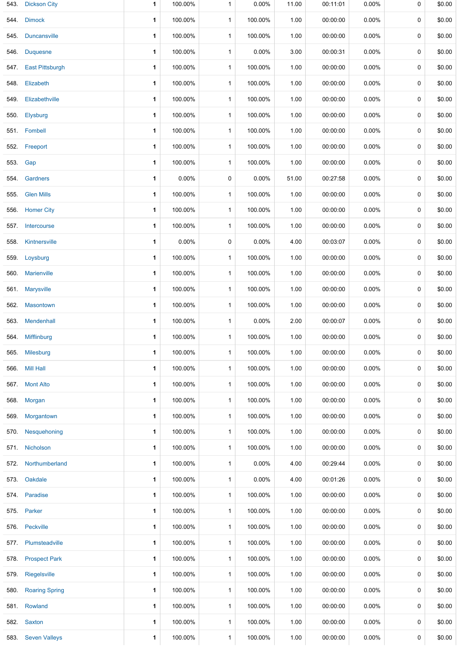| 543.     | <b>Dickson City</b>    | 1            | 100.00% | $\mathbf{1}$ | 0.00%    | 11.00 | 00:11:01 | 0.00%    | 0 | \$0.00 |
|----------|------------------------|--------------|---------|--------------|----------|-------|----------|----------|---|--------|
| 544.     | <b>Dimock</b>          | 1            | 100.00% | $\mathbf{1}$ | 100.00%  | 1.00  | 00:00:00 | 0.00%    | 0 | \$0.00 |
| 545.     | <b>Duncansville</b>    | 1            | 100.00% | $\mathbf{1}$ | 100.00%  | 1.00  | 00:00:00 | 0.00%    | 0 | \$0.00 |
| 546.     | <b>Duquesne</b>        | 1            | 100.00% | $\mathbf{1}$ | $0.00\%$ | 3.00  | 00:00:31 | 0.00%    | 0 | \$0.00 |
| 547.     | <b>East Pittsburgh</b> | 1            | 100.00% | $\mathbf{1}$ | 100.00%  | 1.00  | 00:00:00 | 0.00%    | 0 | \$0.00 |
| 548.     | Elizabeth              | 1            | 100.00% | $\mathbf{1}$ | 100.00%  | 1.00  | 00:00:00 | 0.00%    | 0 | \$0.00 |
| 549.     | Elizabethville         | 1            | 100.00% | $\mathbf{1}$ | 100.00%  | 1.00  | 00:00:00 | 0.00%    | 0 | \$0.00 |
| 550.     | Elysburg               | 1            | 100.00% | $\mathbf{1}$ | 100.00%  | 1.00  | 00:00:00 | 0.00%    | 0 | \$0.00 |
|          | 551. Fombell           | 1            | 100.00% | $\mathbf{1}$ | 100.00%  | 1.00  | 00:00:00 | 0.00%    | 0 | \$0.00 |
| 552.     | Freeport               | 1            | 100.00% | $\mathbf{1}$ | 100.00%  | 1.00  | 00:00:00 | 0.00%    | 0 | \$0.00 |
| 553. Gap |                        | 1            | 100.00% | $\mathbf{1}$ | 100.00%  | 1.00  | 00:00:00 | 0.00%    | 0 | \$0.00 |
| 554.     | Gardners               | 1            | 0.00%   | 0            | $0.00\%$ | 51.00 | 00:27:58 | 0.00%    | 0 | \$0.00 |
| 555.     | <b>Glen Mills</b>      | 1            | 100.00% | $\mathbf{1}$ | 100.00%  | 1.00  | 00:00:00 | 0.00%    | 0 | \$0.00 |
| 556.     | <b>Homer City</b>      | 1            | 100.00% | $\mathbf{1}$ | 100.00%  | 1.00  | 00:00:00 | 0.00%    | 0 | \$0.00 |
| 557.     | Intercourse            | 1            | 100.00% | $\mathbf{1}$ | 100.00%  | 1.00  | 00:00:00 | 0.00%    | 0 | \$0.00 |
| 558.     | Kintnersville          | 1            | 0.00%   | 0            | $0.00\%$ | 4.00  | 00:03:07 | 0.00%    | 0 | \$0.00 |
| 559.     | Loysburg               | $\mathbf{1}$ | 100.00% | $\mathbf{1}$ | 100.00%  | 1.00  | 00:00:00 | 0.00%    | 0 | \$0.00 |
| 560.     | <b>Marienville</b>     | 1            | 100.00% | $\mathbf{1}$ | 100.00%  | 1.00  | 00:00:00 | 0.00%    | 0 | \$0.00 |
| 561.     | <b>Marysville</b>      | 1            | 100.00% | $\mathbf{1}$ | 100.00%  | 1.00  | 00:00:00 | 0.00%    | 0 | \$0.00 |
| 562.     | <b>Masontown</b>       | 1            | 100.00% | $\mathbf{1}$ | 100.00%  | 1.00  | 00:00:00 | $0.00\%$ | 0 | \$0.00 |
| 563.     | Mendenhall             | 1            | 100.00% | $\mathbf{1}$ | $0.00\%$ | 2.00  | 00:00:07 | 0.00%    | 0 | \$0.00 |
|          | 564. Mifflinburg       | 1            | 100.00% | $\mathbf{1}$ | 100.00%  | 1.00  | 00:00:00 | 0.00%    | 0 | \$0.00 |
| 565.     | <b>Milesburg</b>       | 1            | 100.00% | $\mathbf{1}$ | 100.00%  | 1.00  | 00:00:00 | 0.00%    | 0 | \$0.00 |
|          | 566. Mill Hall         | 1            | 100.00% | $\mathbf{1}$ | 100.00%  | 1.00  | 00:00:00 | 0.00%    | 0 | \$0.00 |
| 567.     | <b>Mont Alto</b>       | 1            | 100.00% | $\mathbf{1}$ | 100.00%  | 1.00  | 00:00:00 | 0.00%    | 0 | \$0.00 |
| 568.     | Morgan                 | 1            | 100.00% | $\mathbf{1}$ | 100.00%  | 1.00  | 00:00:00 | 0.00%    | 0 | \$0.00 |
| 569.     | Morgantown             | 1            | 100.00% | $\mathbf{1}$ | 100.00%  | 1.00  | 00:00:00 | 0.00%    | 0 | \$0.00 |
| 570.     | Nesquehoning           | 1            | 100.00% | $\mathbf{1}$ | 100.00%  | 1.00  | 00:00:00 | 0.00%    | 0 | \$0.00 |
| 571.     | Nicholson              | 1            | 100.00% | $\mathbf{1}$ | 100.00%  | 1.00  | 00:00:00 | 0.00%    | 0 | \$0.00 |
| 572.     | Northumberland         | 1            | 100.00% | $\mathbf{1}$ | $0.00\%$ | 4.00  | 00:29:44 | 0.00%    | 0 | \$0.00 |
| 573.     | Oakdale                | 1            | 100.00% | $\mathbf{1}$ | $0.00\%$ | 4.00  | 00:01:26 | 0.00%    | 0 | \$0.00 |
|          | 574. Paradise          | 1            | 100.00% | $\mathbf{1}$ | 100.00%  | 1.00  | 00:00:00 | 0.00%    | 0 | \$0.00 |
| 575.     | Parker                 | 1            | 100.00% | $\mathbf{1}$ | 100.00%  | 1.00  | 00:00:00 | 0.00%    | 0 | \$0.00 |
|          | 576. Peckville         | 1            | 100.00% | 1            | 100.00%  | 1.00  | 00:00:00 | 0.00%    | 0 | \$0.00 |
| 577.     | Plumsteadville         | 1            | 100.00% | $\mathbf{1}$ | 100.00%  | 1.00  | 00:00:00 | 0.00%    | 0 | \$0.00 |
| 578.     | <b>Prospect Park</b>   | 1            | 100.00% | $\mathbf{1}$ | 100.00%  | 1.00  | 00:00:00 | 0.00%    | 0 | \$0.00 |
| 579.     | Riegelsville           | 1            | 100.00% | $\mathbf{1}$ | 100.00%  | 1.00  | 00:00:00 | 0.00%    | 0 | \$0.00 |
| 580.     | <b>Roaring Spring</b>  | 1            | 100.00% | $\mathbf{1}$ | 100.00%  | 1.00  | 00:00:00 | 0.00%    | 0 | \$0.00 |
| 581.     | Rowland                | 1            | 100.00% | $\mathbf{1}$ | 100.00%  | 1.00  | 00:00:00 | 0.00%    | 0 | \$0.00 |
| 582.     | Saxton                 | 1            | 100.00% | $\mathbf{1}$ | 100.00%  | 1.00  | 00:00:00 | 0.00%    | 0 | \$0.00 |
|          | 583. Seven Valleys     | 1            | 100.00% | $\mathbf{1}$ | 100.00%  | 1.00  | 00:00:00 | 0.00%    | 0 | \$0.00 |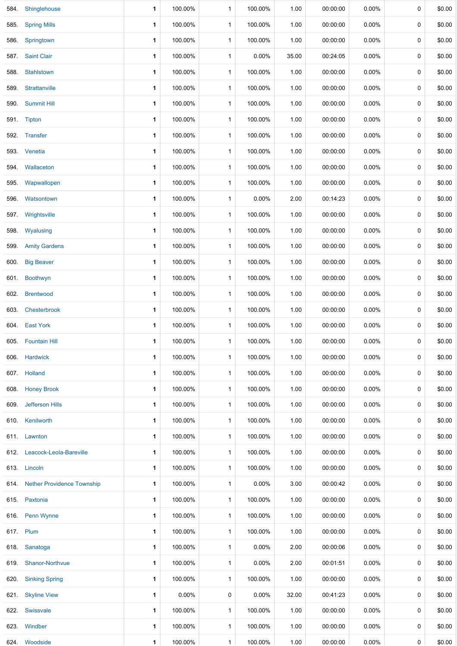| 584. | Shinglehouse                    | 1 | 100.00% | $\mathbf{1}$ | 100.00%  | 1.00  | 00:00:00 | 0.00%    | 0 | \$0.00 |
|------|---------------------------------|---|---------|--------------|----------|-------|----------|----------|---|--------|
| 585. | <b>Spring Mills</b>             | 1 | 100.00% | $\mathbf{1}$ | 100.00%  | 1.00  | 00:00:00 | 0.00%    | 0 | \$0.00 |
| 586. | Springtown                      | 1 | 100.00% | $\mathbf{1}$ | 100.00%  | 1.00  | 00:00:00 | 0.00%    | 0 | \$0.00 |
| 587. | <b>Saint Clair</b>              | 1 | 100.00% | $\mathbf{1}$ | 0.00%    | 35.00 | 00:24:05 | 0.00%    | 0 | \$0.00 |
| 588. | Stahlstown                      | 1 | 100.00% | $\mathbf{1}$ | 100.00%  | 1.00  | 00:00:00 | 0.00%    | 0 | \$0.00 |
| 589. | Strattanville                   | 1 | 100.00% | $\mathbf{1}$ | 100.00%  | 1.00  | 00:00:00 | 0.00%    | 0 | \$0.00 |
| 590. | <b>Summit Hill</b>              | 1 | 100.00% | $\mathbf{1}$ | 100.00%  | 1.00  | 00:00:00 | 0.00%    | 0 | \$0.00 |
|      | 591. Tipton                     | 1 | 100.00% | $\mathbf{1}$ | 100.00%  | 1.00  | 00:00:00 | 0.00%    | 0 | \$0.00 |
|      | 592. Transfer                   | 1 | 100.00% | $\mathbf{1}$ | 100.00%  | 1.00  | 00:00:00 | 0.00%    | 0 | \$0.00 |
|      | 593. Venetia                    | 1 | 100.00% | $\mathbf{1}$ | 100.00%  | 1.00  | 00:00:00 | 0.00%    | 0 | \$0.00 |
|      | 594 Wallaceton                  | 1 | 100.00% | $\mathbf{1}$ | 100.00%  | 1.00  | 00:00:00 | 0.00%    | 0 | \$0.00 |
| 595. | Wapwallopen                     | 1 | 100.00% | $\mathbf{1}$ | 100.00%  | 1.00  | 00:00:00 | 0.00%    | 0 | \$0.00 |
| 596. | Watsontown                      | 1 | 100.00% | $\mathbf{1}$ | 0.00%    | 2.00  | 00:14:23 | $0.00\%$ | 0 | \$0.00 |
| 597. | Wrightsville                    | 1 | 100.00% | $\mathbf{1}$ | 100.00%  | 1.00  | 00:00:00 | 0.00%    | 0 | \$0.00 |
|      | 598. Wyalusing                  | 1 | 100.00% | $\mathbf{1}$ | 100.00%  | 1.00  | 00:00:00 | 0.00%    | 0 | \$0.00 |
| 599. | <b>Amity Gardens</b>            | 1 | 100.00% | $\mathbf{1}$ | 100.00%  | 1.00  | 00:00:00 | 0.00%    | 0 | \$0.00 |
| 600. | <b>Big Beaver</b>               | 1 | 100.00% | $\mathbf{1}$ | 100.00%  | 1.00  | 00:00:00 | 0.00%    | 0 | \$0.00 |
| 601. | Boothwyn                        | 1 | 100.00% | $\mathbf{1}$ | 100.00%  | 1.00  | 00:00:00 | 0.00%    | 0 | \$0.00 |
| 602. | <b>Brentwood</b>                | 1 | 100.00% | $\mathbf{1}$ | 100.00%  | 1.00  | 00:00:00 | 0.00%    | 0 | \$0.00 |
| 603. | Chesterbrook                    | 1 | 100.00% | $\mathbf{1}$ | 100.00%  | 1.00  | 00:00:00 | 0.00%    | 0 | \$0.00 |
|      | 604. East York                  | 1 | 100.00% | $\mathbf{1}$ | 100.00%  | 1.00  | 00:00:00 | $0.00\%$ | 0 | \$0.00 |
|      | 605 Fountain Hill               | 1 | 100.00% | $\mathbf{1}$ | 100.00%  | 1.00  | 00:00:00 | 0.00%    | 0 | \$0.00 |
|      | 606. Hardwick                   | 1 | 100.00% | 1            | 100.00%  | 1.00  | 00:00:00 | 0.00%    | 0 | \$0.00 |
|      | 607. Holland                    | 1 | 100.00% | $\mathbf{1}$ | 100.00%  | 1.00  | 00:00:00 | 0.00%    | 0 | \$0.00 |
| 608. | <b>Honey Brook</b>              | 1 | 100.00% | $\mathbf{1}$ | 100.00%  | 1.00  | 00:00:00 | 0.00%    | 0 | \$0.00 |
|      | 609. Jefferson Hills            | 1 | 100.00% | 1            | 100.00%  | 1.00  | 00:00:00 | 0.00%    | 0 | \$0.00 |
|      | 610. Kenilworth                 | 1 | 100.00% | $\mathbf{1}$ | 100.00%  | 1.00  | 00:00:00 | 0.00%    | 0 | \$0.00 |
| 611. | Lawnton                         | 1 | 100.00% | $\mathbf{1}$ | 100.00%  | 1.00  | 00:00:00 | 0.00%    | 0 | \$0.00 |
|      | 612. Leacock-Leola-Bareville    | 1 | 100.00% | 1            | 100.00%  | 1.00  | 00:00:00 | 0.00%    | 0 | \$0.00 |
|      | 613. Lincoln                    | 1 | 100.00% | 1            | 100.00%  | 1.00  | 00:00:00 | 0.00%    | 0 | \$0.00 |
|      | 614. Nether Providence Township | 1 | 100.00% | $\mathbf{1}$ | $0.00\%$ | 3.00  | 00:00:42 | 0.00%    | 0 | \$0.00 |
|      | 615. Paxtonia                   | 1 | 100.00% | $\mathbf{1}$ | 100.00%  | 1.00  | 00:00:00 | 0.00%    | 0 | \$0.00 |
|      | 616. Penn Wynne                 | 1 | 100.00% | $\mathbf{1}$ | 100.00%  | 1.00  | 00:00:00 | 0.00%    | 0 | \$0.00 |
|      | 617. Plum                       | 1 | 100.00% | 1            | 100.00%  | 1.00  | 00:00:00 | 0.00%    | 0 | \$0.00 |
|      | 618 Sanatoga                    | 1 | 100.00% | $\mathbf{1}$ | $0.00\%$ | 2.00  | 00:00:06 | 0.00%    | 0 | \$0.00 |
|      | 619. Shanor-Northvue            | 1 | 100.00% | 1            | 0.00%    | 2.00  | 00:01:51 | 0.00%    | 0 | \$0.00 |
| 620. | <b>Sinking Spring</b>           | 1 | 100.00% | $\mathbf{1}$ | 100.00%  | 1.00  | 00:00:00 | 0.00%    | 0 | \$0.00 |
| 621. | <b>Skyline View</b>             | 1 | 0.00%   | 0            | 0.00%    | 32.00 | 00:41:23 | 0.00%    | 0 | \$0.00 |
| 622. | Swissvale                       | 1 | 100.00% | $\mathbf{1}$ | 100.00%  | 1.00  | 00:00:00 | 0.00%    | 0 | \$0.00 |
|      | 623. Windber                    | 1 | 100.00% | 1            | 100.00%  | 1.00  | 00:00:00 | 0.00%    | 0 | \$0.00 |
| 624. | Woodside                        | 1 | 100.00% | $\mathbf{1}$ | 100.00%  | 1.00  | 00:00:00 | $0.00\%$ | 0 | \$0.00 |